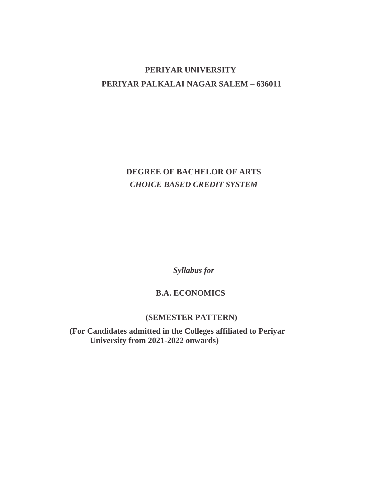# **PERIYAR UNIVERSITY PERIYAR PALKALAI NAGAR SALEM – 636011**

# **DEGREE OF BACHELOR OF ARTS** *CHOICE BASED CREDIT SYSTEM*

*Syllabus for*

## **B.A. ECONOMICS**

## **(SEMESTER PATTERN)**

**(For Candidates admitted in the Colleges affiliated to Periyar University from 2021-2022 onwards)**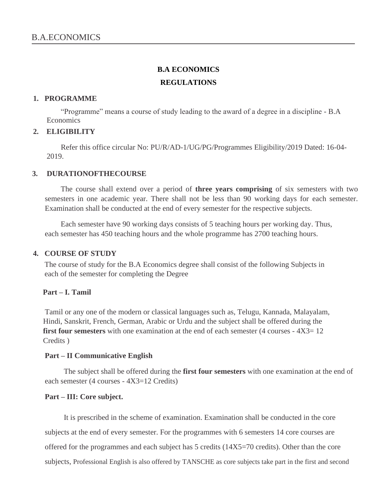# **B.A ECONOMICS REGULATIONS**

#### **1. PROGRAMME**

"Programme" means a course of study leading to the award of a degree in a discipline - B.A **Economics** 

### **2. ELIGIBILITY**

Refer this office circular No: PU/R/AD-1/UG/PG/Programmes Eligibility/2019 Dated: 16-04- 2019.

#### **3. DURATIONOFTHECOURSE**

The course shall extend over a period of **three years comprising** of six semesters with two semesters in one academic year. There shall not be less than 90 working days for each semester. Examination shall be conducted at the end of every semester for the respective subjects.

Each semester have 90 working days consists of 5 teaching hours per working day. Thus, each semester has 450 teaching hours and the whole programme has 2700 teaching hours.

#### **4. COURSE OF STUDY**

The course of study for the B.A Economics degree shall consist of the following Subjects in each of the semester for completing the Degree

#### **Part – I. Tamil**

Tamil or any one of the modern or classical languages such as, Telugu, Kannada, Malayalam, Hindi, Sanskrit, French, German, Arabic or Urdu and the subject shall be offered during the **first four semesters** with one examination at the end of each semester (4 courses -  $4X3=12$ ) Credits )

#### **Part – II Communicative English**

The subject shall be offered during the **first four semesters** with one examination at the end of each semester (4 courses - 4X3=12 Credits)

#### **Part – III: Core subject.**

It is prescribed in the scheme of examination. Examination shall be conducted in the core subjects at the end of every semester. For the programmes with 6 semesters 14 core courses are offered for the programmes and each subject has 5 credits (14X5=70 credits). Other than the core subjects, Professional English is also offered by TANSCHE as core subjects take part in the first and second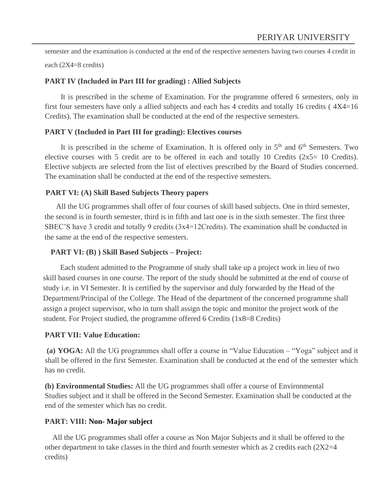semester and the examination is conducted at the end of the respective semesters having two courses 4 credit in

each (2X4=8 credits)

#### **PART IV (Included in Part III for grading) : Allied Subjects**

It is prescribed in the scheme of Examination. For the programme offered 6 semesters, only in first four semesters have only a allied subjects and each has 4 credits and totally 16 credits ( 4X4=16 Credits). The examination shall be conducted at the end of the respective semesters.

#### **PART V (Included in Part III for grading): Electives courses**

It is prescribed in the scheme of Examination. It is offered only in  $5<sup>th</sup>$  and  $6<sup>th</sup>$  Semesters. Two elective courses with 5 credit are to be offered in each and totally 10 Credits  $(2x5=10$  Credits). Elective subjects are selected from the list of electives prescribed by the Board of Studies concerned. The examination shall be conducted at the end of the respective semesters.

#### **PART VI: (A) Skill Based Subjects Theory papers**

All the UG programmes shall offer of four courses of skill based subjects. One in third semester, the second is in fourth semester, third is in fifth and last one is in the sixth semester. The first three SBEC'S have 3 credit and totally 9 credits (3x4=12Credits). The examination shall be conducted in the same at the end of the respective semesters.

#### **PART VI: (B) ) Skill Based Subjects – Project:**

Each student admitted to the Programme of study shall take up a project work in lieu of two skill based courses in one course. The report of the study should be submitted at the end of course of study i.e. in VI Semester. It is certified by the supervisor and duly forwarded by the Head of the Department/Principal of the College. The Head of the department of the concerned programme shall assign a project supervisor, who in turn shall assign the topic and monitor the project work of the student. For Project studied, the programme offered 6 Credits (1x8=8 Credits)

#### **PART VII: Value Education:**

**(a) YOGA:** All the UG programmes shall offer a course in "Value Education – "Yoga" subject and it shall be offered in the first Semester. Examination shall be conducted at the end of the semester which has no credit.

**(b) Environmental Studies:** All the UG programmes shall offer a course of Environmental Studies subject and it shall be offered in the Second Semester. Examination shall be conducted at the end of the semester which has no credit.

#### **PART: VIII: Non- Major subject**

All the UG programmes shall offer a course as Non Major Subjects and it shall be offered to the other department to take classes in the third and fourth semester which as 2 credits each  $(2X2=4)$ credits)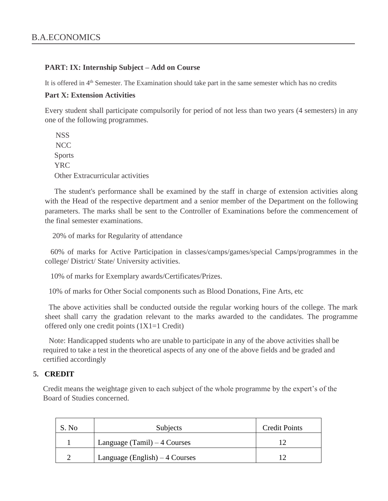#### **PART: IX: Internship Subject – Add on Course**

It is offered in 4<sup>th</sup> Semester. The Examination should take part in the same semester which has no credits

#### **Part X: Extension Activities**

Every student shall participate compulsorily for period of not less than two years (4 semesters) in any one of the following programmes.

**NSS** NCC Sports YRC Other Extracurricular activities

The student's performance shall be examined by the staff in charge of extension activities along with the Head of the respective department and a senior member of the Department on the following parameters. The marks shall be sent to the Controller of Examinations before the commencement of the final semester examinations.

20% of marks for Regularity of attendance

60% of marks for Active Participation in classes/camps/games/special Camps/programmes in the college/ District/ State/ University activities.

10% of marks for Exemplary awards/Certificates/Prizes.

10% of marks for Other Social components such as Blood Donations, Fine Arts, etc

The above activities shall be conducted outside the regular working hours of the college. The mark sheet shall carry the gradation relevant to the marks awarded to the candidates. The programme offered only one credit points (1X1=1 Credit)

Note: Handicapped students who are unable to participate in any of the above activities shall be required to take a test in the theoretical aspects of any one of the above fields and be graded and certified accordingly

#### **5. CREDIT**

Credit means the weightage given to each subject of the whole programme by the expert's of the Board of Studies concerned.

| S. No | Subjects                        | <b>Credit Points</b> |
|-------|---------------------------------|----------------------|
|       | Language $(Tamil) - 4 Courses$  |                      |
|       | Language (English) $-4$ Courses |                      |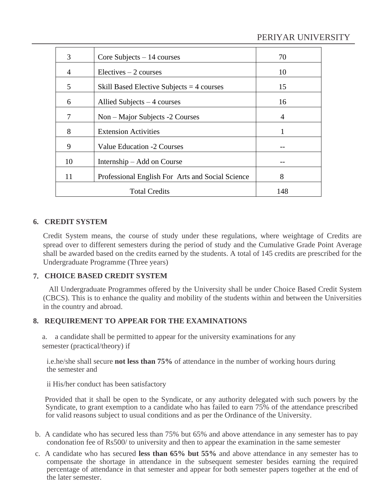| 3  | Core Subjects $-14$ courses                      | 70  |
|----|--------------------------------------------------|-----|
| 4  | $Electives - 2 courses$                          | 10  |
| 5  | Skill Based Elective Subjects $=$ 4 courses      | 15  |
| 6  | Allied Subjects $-4$ courses                     | 16  |
| 7  | Non – Major Subjects -2 Courses                  | 4   |
| 8  | <b>Extension Activities</b>                      | 1   |
| 9  | Value Education -2 Courses                       |     |
| 10 | Internship – Add on Course                       |     |
| 11 | Professional English For Arts and Social Science | 8   |
|    | <b>Total Credits</b>                             | 148 |

## **6. CREDIT SYSTEM**

Credit System means, the course of study under these regulations, where weightage of Credits are spread over to different semesters during the period of study and the Cumulative Grade Point Average shall be awarded based on the credits earned by the students. A total of 145 credits are prescribed for the Undergraduate Programme (Three years)

## **7. CHOICE BASED CREDIT SYSTEM**

All Undergraduate Programmes offered by the University shall be under Choice Based Credit System (CBCS). This is to enhance the quality and mobility of the students within and between the Universities in the country and abroad.

## **8. REQUIREMENT TO APPEAR FOR THE EXAMINATIONS**

a. a candidate shall be permitted to appear for the university examinations for any semester (practical/theory) if

i.e.he/she shall secure **not less than 75%** of attendance in the number of working hours during the semester and

ii His/her conduct has been satisfactory

Provided that it shall be open to the Syndicate, or any authority delegated with such powers by the Syndicate, to grant exemption to a candidate who has failed to earn 75% of the attendance prescribed for valid reasons subject to usual conditions and as per the Ordinance of the University.

- b. A candidate who has secured less than 75% but 65% and above attendance in any semester has to pay condonation fee of Rs500/ to university and then to appear the examination in the same semester
- c. A candidate who has secured **less than 65% but 55%** and above attendance in any semester has to compensate the shortage in attendance in the subsequent semester besides earning the required percentage of attendance in that semester and appear for both semester papers together at the end of the later semester.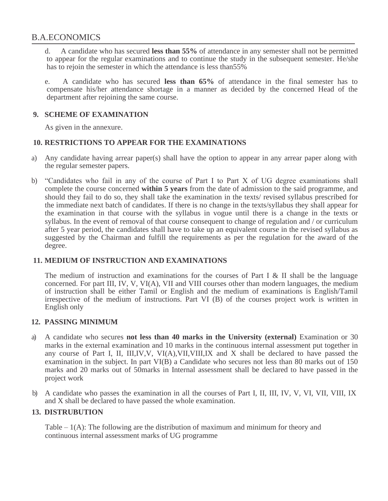d. A candidate who has secured **less than 55%** of attendance in any semester shall not be permitted to appear for the regular examinations and to continue the study in the subsequent semester. He/she has to rejoin the semester in which the attendance is less than55%

e. A candidate who has secured **less than 65%** of attendance in the final semester has to compensate his/her attendance shortage in a manner as decided by the concerned Head of the department after rejoining the same course.

## **9. SCHEME OF EXAMINATION**

As given in the annexure.

### **10. RESTRICTIONS TO APPEAR FOR THE EXAMINATIONS**

- a) Any candidate having arrear paper(s) shall have the option to appear in any arrear paper along with the regular semester papers.
- b) "Candidates who fail in any of the course of Part I to Part X of UG degree examinations shall complete the course concerned **within 5 years** from the date of admission to the said programme, and should they fail to do so, they shall take the examination in the texts/ revised syllabus prescribed for the immediate next batch of candidates. If there is no change in the texts/syllabus they shall appear for the examination in that course with the syllabus in vogue until there is a change in the texts or syllabus. In the event of removal of that course consequent to change of regulation and / or curriculum after 5 year period, the candidates shall have to take up an equivalent course in the revised syllabus as suggested by the Chairman and fulfill the requirements as per the regulation for the award of the degree.

#### **11. MEDIUM OF INSTRUCTION AND EXAMINATIONS**

The medium of instruction and examinations for the courses of Part I & II shall be the language concerned. For part III, IV, V, VI(A), VII and VIII courses other than modern languages, the medium of instruction shall be either Tamil or English and the medium of examinations is English/Tamil irrespective of the medium of instructions. Part VI (B) of the courses project work is written in English only

#### **12. PASSING MINIMUM**

- a) A candidate who secures **not less than 40 marks in the University (external)** Examination or 30 marks in the external examination and 10 marks in the continuous internal assessment put together in any course of Part I, II, III,IV,V, VI(A),VII,VIII,IX and X shall be declared to have passed the examination in the subject. In part VI(B) a Candidate who secures not less than 80 marks out of 150 marks and 20 marks out of 50marks in Internal assessment shall be declared to have passed in the project work
- b) A candidate who passes the examination in all the courses of Part I, II, III, IV, V, VI, VII, VIII, IX and X shall be declared to have passed the whole examination.

## **13. DISTRUBUTION**

Table  $-1(A)$ : The following are the distribution of maximum and minimum for theory and continuous internal assessment marks of UG programme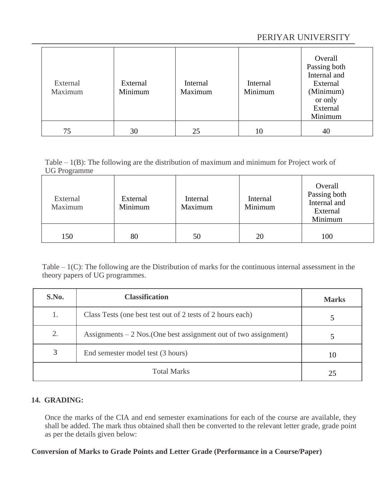# PERIYAR UNIVERSITY

| External<br>Maximum | External<br>Minimum | Internal<br>Maximum | Internal<br>Minimum | Overall<br>Passing both<br>Internal and<br>External<br>(Minimum)<br>or only<br>External<br>Minimum |
|---------------------|---------------------|---------------------|---------------------|----------------------------------------------------------------------------------------------------|
| 75                  | 30                  | 25                  | 10                  | 40                                                                                                 |

Table  $-1(B)$ : The following are the distribution of maximum and minimum for Project work of UG Programme

| External<br>Maximum | External<br>Minimum | Internal<br>Maximum | Internal<br>Minimum | Overall<br>Passing both<br>Internal and<br>External<br>Minimum |
|---------------------|---------------------|---------------------|---------------------|----------------------------------------------------------------|
| 150                 | 80                  | 50                  | 20                  | 100                                                            |

Table  $-1(C)$ : The following are the Distribution of marks for the continuous internal assessment in the theory papers of UG programmes.

| S.No. | <b>Classification</b>                                             | <b>Marks</b> |
|-------|-------------------------------------------------------------------|--------------|
| 1.    | Class Tests (one best test out of 2 tests of 2 hours each)        |              |
| 2.    | Assignments $-2$ Nos. (One best assignment out of two assignment) |              |
| 3     | End semester model test (3 hours)                                 | 10           |
|       | 25                                                                |              |

## **14. GRADING:**

Once the marks of the CIA and end semester examinations for each of the course are available, they shall be added. The mark thus obtained shall then be converted to the relevant letter grade, grade point as per the details given below:

#### **Conversion of Marks to Grade Points and Letter Grade (Performance in a Course/Paper)**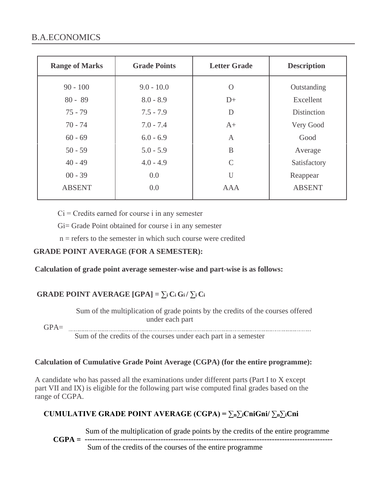| <b>Range of Marks</b> | <b>Grade Points</b> | <b>Letter Grade</b> | <b>Description</b> |
|-----------------------|---------------------|---------------------|--------------------|
| $90 - 100$            | $9.0 - 10.0$        | $\Omega$            | Outstanding        |
| $80 - 89$             | $8.0 - 8.9$         | $D+$                | Excellent          |
| $75 - 79$             | $7.5 - 7.9$         | D                   | Distinction        |
| $70 - 74$             | $7.0 - 7.4$         | $A+$                | Very Good          |
| $60 - 69$             | $6.0 - 6.9$         | $\overline{A}$      | Good               |
| $50 - 59$             | $5.0 - 5.9$         | B                   | Average            |
| $40 - 49$             | $4.0 - 4.9$         | $\mathcal{C}$       | Satisfactory       |
| $00 - 39$             | 0.0                 | U                   | Reappear           |
| <b>ABSENT</b>         | 0.0                 | <b>AAA</b>          | <b>ABSENT</b>      |
|                       |                     |                     |                    |

 $Ci = C$  redits earned for course i in any semester

Gi= Grade Point obtained for course i in any semester

 $n =$  refers to the semester in which such course were credited

## **GRADE POINT AVERAGE (FOR A SEMESTER):**

**Calculation of grade point average semester-wise and part-wise is as follows:**

## **GRADE POINT AVERAGE**  $[GPA] = \sum_i C_i G_i / \sum_i C_i$

Sum of the multiplication of grade points by the credits of the courses offered under each part

GPA= Sum of the credits of the courses under each part in a semester

## **Calculation of Cumulative Grade Point Average (CGPA) (for the entire programme):**

A candidate who has passed all the examinations under different parts (Part I to X except part VII and IX) is eligible for the following part wise computed final grades based on the range of CGPA.

## **CUMULATIVE GRADE POINT AVERAGE (CGPA) = ∑n∑iCniGni/ ∑n∑iCni**

Sum of the multiplication of grade points by the credits of the entire programme

**CGPA = --------------------------------------------------------------------------------------------------** Sum of the credits of the courses of the entire programme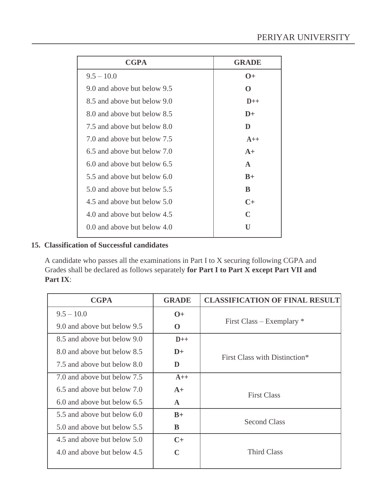| <b>CGPA</b>                   | <b>GRADE</b> |
|-------------------------------|--------------|
| $9.5 - 10.0$                  | $\Omega +$   |
| 9.0 and above but below 9.5   | $\Omega$     |
| 8.5 and above but below 9.0   | $D++$        |
| 8.0 and above but below 8.5   | $D+$         |
| 7.5 and above but below 8.0   | D            |
| 7.0 and above but below 7.5   | $A++$        |
| 6.5 and above but below 7.0   | $A+$         |
| 6.0 and above but below 6.5   | $\mathbf{A}$ |
| 5.5 and above but below 6.0   | $B+$         |
| 5.0 and above but below 5.5   | <sup>R</sup> |
| 4.5 and above but below 5.0   | $C+$         |
| 4.0 and above but below 4.5   | $\mathbb{C}$ |
| 0.0 and above but below $4.0$ | U            |

## **15. Classification of Successful candidates**

A candidate who passes all the examinations in Part I to X securing following CGPA and Grades shall be declared as follows separately **for Part I to Part X except Part VII and Part IX**:

| <b>CGPA</b>                 | <b>GRADE</b> | <b>CLASSIFICATION OF FINAL RESULT</b> |
|-----------------------------|--------------|---------------------------------------|
| $9.5 - 10.0$                | $O+$         |                                       |
| 9.0 and above but below 9.5 | $\bf{0}$     | First Class – Exemplary $*$           |
| 8.5 and above but below 9.0 | $D++$        |                                       |
| 8.0 and above but below 8.5 | $D+$         | First Class with Distinction*         |
| 7.5 and above but below 8.0 | D            |                                       |
| 7.0 and above but below 7.5 | $A++$        |                                       |
| 6.5 and above but below 7.0 | $A+$         | <b>First Class</b>                    |
| 6.0 and above but below 6.5 | $\mathbf{A}$ |                                       |
| 5.5 and above but below 6.0 | $B+$         |                                       |
| 5.0 and above but below 5.5 | R            | <b>Second Class</b>                   |
| 4.5 and above but below 5.0 | $C+$         |                                       |
| 4.0 and above but below 4.5 | C            | <b>Third Class</b>                    |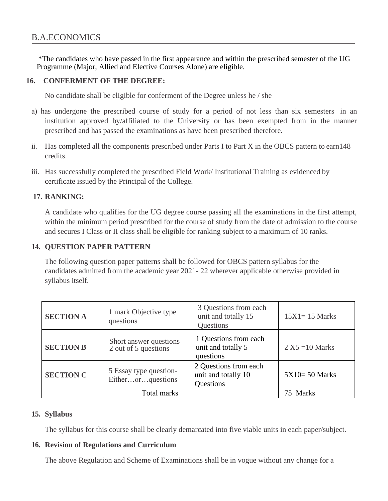\*The candidates who have passed in the first appearance and within the prescribed semester of the UG Programme (Major, Allied and Elective Courses Alone) are eligible.

### **16. CONFERMENT OF THE DEGREE:**

No candidate shall be eligible for conferment of the Degree unless he / she

- a) has undergone the prescribed course of study for a period of not less than six semesters in an institution approved by/affiliated to the University or has been exempted from in the manner prescribed and has passed the examinations as have been prescribed therefore.
- ii. Has completed all the components prescribed under Parts I to Part X in the OBCS pattern to earn148 credits.
- iii. Has successfully completed the prescribed Field Work/ Institutional Training as evidenced by certificate issued by the Principal of the College.

### **17. RANKING:**

A candidate who qualifies for the UG degree course passing all the examinations in the first attempt, within the minimum period prescribed for the course of study from the date of admission to the course and secures I Class or II class shall be eligible for ranking subject to a maximum of 10 ranks.

## **14. QUESTION PAPER PATTERN**

The following question paper patterns shall be followed for OBCS pattern syllabus for the candidates admitted from the academic year 2021- 22 wherever applicable otherwise provided in syllabus itself.

| <b>SECTION A</b> | 1 mark Objective type<br>questions               | 3 Questions from each<br>unit and totally 15<br>Questions | $15X1 = 15$ Marks |
|------------------|--------------------------------------------------|-----------------------------------------------------------|-------------------|
| <b>SECTION B</b> | Short answer questions –<br>2 out of 5 questions | 1 Questions from each<br>unit and totally 5<br>questions  | $2 X5 = 10 Marks$ |
| <b>SECTION C</b> | 5 Essay type question-<br>Eitherorquestions      | 2 Questions from each<br>unit and totally 10<br>Questions | $5X10=50$ Marks   |
|                  | 75 Marks                                         |                                                           |                   |

#### **15. Syllabus**

The syllabus for this course shall be clearly demarcated into five viable units in each paper/subject.

#### **16. Revision of Regulations and Curriculum**

The above Regulation and Scheme of Examinations shall be in vogue without any change for a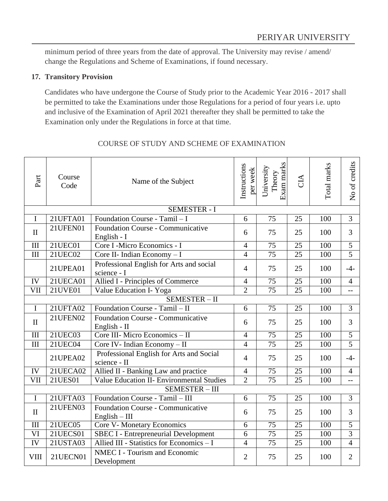minimum period of three years from the date of approval. The University may revise / amend/ change the Regulations and Scheme of Examinations, if found necessary.

#### **17. Transitory Provision**

Candidates who have undergone the Course of Study prior to the Academic Year 2016 - 2017 shall be permitted to take the Examinations under those Regulations for a period of four years i.e. upto and inclusive of the Examination of April 2021 thereafter they shall be permitted to take the Examination only under the Regulations in force at that time.

| Part                    | Course<br>Code  | Name of the Subject                                         | Instructions<br>per week | Exam marks<br>University<br>Theory | CIA             | Total marks      | No of credits  |
|-------------------------|-----------------|-------------------------------------------------------------|--------------------------|------------------------------------|-----------------|------------------|----------------|
|                         |                 | <b>SEMESTER - I</b>                                         |                          |                                    |                 |                  |                |
| $\mathbf I$             | 21UFTA01        | Foundation Course - Tamil - I                               | 6                        | $\overline{75}$                    | 25              | 100              | $\overline{3}$ |
| $\mathbf{I}$            | 21UFEN01        | Foundation Course - Communicative<br>English - I            | 6                        | 75                                 | 25              | 100              | 3              |
| III                     | 21UEC01         | Core I -Micro Economics - I                                 | $\overline{4}$           | 75                                 | 25              | 100              | $\overline{5}$ |
| III                     | 21UEC02         | Core II- Indian Economy - I                                 | $\overline{4}$           | $\overline{75}$                    | 25              | 100              | $\overline{5}$ |
|                         | 21UPEA01        | Professional English for Arts and social<br>science - I     | $\overline{4}$           | 75                                 | 25              | 100              | $-4-$          |
| IV                      | 21UECA01        | Allied I - Principles of Commerce                           | $\overline{4}$           | 75                                 | $\overline{25}$ | $\overline{100}$ | $\overline{4}$ |
| VII                     | $21$ UVE $01$   | Value Education I- Yoga                                     | $\overline{2}$           | $\overline{75}$                    | $\overline{25}$ | 100              | $-$            |
|                         |                 | SEMESTER-II                                                 |                          |                                    |                 |                  |                |
| $\mathbf I$             | 21UFTA02        | Foundation Course - Tamil - II                              | 6                        | 75                                 | 25              | 100              | 3              |
| $\mathbf{I}$            | 21UFEN02        | Foundation Course - Communicative<br>English - $\Pi$        | 6                        | 75                                 | 25              | 100              | 3              |
| III                     | 21UEC03         | Core III- Micro Economics - II                              | $\overline{4}$           | $\overline{75}$                    | $\overline{25}$ | $\overline{100}$ | $\overline{5}$ |
| III                     | 21UEC04         | Core IV- Indian Economy - II                                | $\overline{4}$           | $\overline{75}$                    | 25              | 100              | $\overline{5}$ |
|                         | 21UPEA02        | Professional English for Arts and Social<br>science - II    | $\overline{4}$           | 75                                 | 25              | 100              | $-4-$          |
| IV                      | 21UECA02        | Allied II - Banking Law and practice                        | $\overline{4}$           | 75                                 | 25              | 100              | $\overline{4}$ |
| $\overline{\text{VII}}$ | 21UES01         | <b>Value Education II- Environmental Studies</b>            | $\overline{2}$           | $\overline{75}$                    | $\overline{25}$ | 100              | $\overline{a}$ |
|                         |                 | <b>SEMESTER - III</b>                                       |                          |                                    |                 |                  |                |
| $\mathbf I$             | 21UFTA03        | Foundation Course - Tamil - III                             | 6                        | 75                                 | 25              | 100              | $\overline{3}$ |
| $\mathbf{I}$            | 21UFEN03        | <b>Foundation Course - Communicative</b><br>$English - III$ | 6                        | 75                                 | 25              | 100              | $\overline{3}$ |
| III                     | 21UEC05         | Core V- Monetary Economics                                  | 6                        | 75                                 | 25              | 100              | 5              |
| $\overline{\text{VI}}$  | <b>21UECS01</b> | <b>SBEC I - Entrepreneurial Development</b>                 | 6                        | $\overline{75}$                    | $\overline{25}$ | 100              | $\overline{3}$ |
| IV                      | 21USTA03        | Allied III - Statistics for Economics - I                   | $\overline{4}$           | 75                                 | 25              | 100              | $\overline{4}$ |
| <b>VIII</b>             | 21UECN01        | <b>NMEC I - Tourism and Economic</b><br>Development         | $\overline{2}$           | 75                                 | 25              | 100              | $\overline{2}$ |

## COURSE OF STUDY AND SCHEME OF EXAMINATION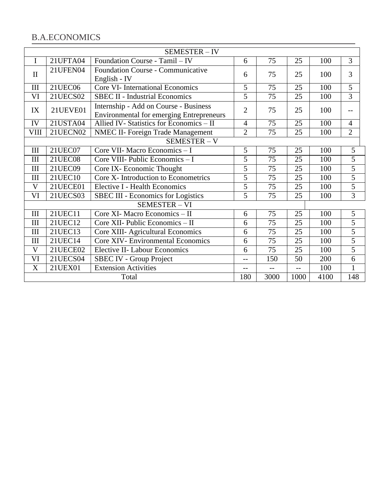|              | SEMESTER-IV                                 |                                                                                          |                |     |     |     |                |
|--------------|---------------------------------------------|------------------------------------------------------------------------------------------|----------------|-----|-----|-----|----------------|
| $\mathbf I$  | 21UFTA04                                    | Foundation Course - Tamil - IV                                                           | 6              | 75  | 25  | 100 | 3              |
| $\mathbf{I}$ | 21UFEN04                                    | Foundation Course - Communicative<br>English - IV                                        | 6              | 75  | 25  | 100 | 3              |
| $\rm III$    | <b>21UEC06</b>                              | <b>Core VI- International Economics</b>                                                  | 5              | 75  | 25  | 100 | $\overline{5}$ |
| VI           | 21UECS02                                    | <b>SBEC II - Industrial Economics</b>                                                    | $\overline{5}$ | 75  | 25  | 100 | $\overline{3}$ |
| IX           | 21UEVE01                                    | Internship - Add on Course - Business<br><b>Environmental for emerging Entrepreneurs</b> | $\overline{2}$ | 75  | 25  | 100 | $-$            |
| IV           | 21USTA04                                    | Allied IV- Statistics for Economics - II                                                 | $\overline{4}$ | 75  | 25  | 100 | $\overline{4}$ |
| <b>VIII</b>  | 21UECN02                                    | <b>NMEC II- Foreign Trade Management</b>                                                 | $\overline{2}$ | 75  | 25  | 100 | $\overline{2}$ |
|              |                                             | SEMESTER-V                                                                               |                |     |     |     |                |
| III          | 21UEC07                                     | Core VII- Macro Economics - I                                                            | 5              | 75  | 25  | 100 | 5              |
| III          | <b>21UEC08</b>                              | Core VIII- Public Economics - I                                                          | $\overline{5}$ | 75  | 25  | 100 | $\overline{5}$ |
| III          | 21UEC09                                     | Core IX- Economic Thought                                                                | $\overline{5}$ | 75  | 25  | 100 | $\overline{5}$ |
| III          | 21UEC10                                     | Core X- Introduction to Econometrics                                                     | $\overline{5}$ | 75  | 25  | 100 | $\overline{5}$ |
| V            | 21UECE01                                    | Elective I - Health Economics                                                            | $\overline{5}$ | 75  | 25  | 100 | $\overline{5}$ |
| VI           | 21UECS03                                    | <b>SBEC III - Economics for Logistics</b>                                                | 5              | 75  | 25  | 100 | $\overline{3}$ |
|              |                                             | <b>SEMESTER - VI</b>                                                                     |                |     |     |     |                |
| III          | 21UEC11                                     | Core XI- Macro Economics - II                                                            | 6              | 75  | 25  | 100 | 5              |
| III          | 21UEC12                                     | Core XII- Public Economics - II                                                          | 6              | 75  | 25  | 100 | $\overline{5}$ |
| III          | 21UEC13                                     | Core XIII- Agricultural Economics                                                        | 6              | 75  | 25  | 100 | $\overline{5}$ |
| III          | 21UEC14                                     | <b>Core XIV- Environmental Economics</b>                                                 | 6              | 75  | 25  | 100 | $\overline{5}$ |
| V            | 21UECE02                                    | <b>Elective II- Labour Economics</b>                                                     | 6              | 75  | 25  | 100 | 5              |
| VI           | 21UECS04                                    | SBEC IV - Group Project                                                                  | --             | 150 | 50  | 200 | 6              |
| X            | 21UEX01                                     | <b>Extension Activities</b>                                                              | $-$            | $-$ | $-$ | 100 | $\mathbf{1}$   |
|              | 180<br>3000<br>1000<br>4100<br>148<br>Total |                                                                                          |                |     |     |     |                |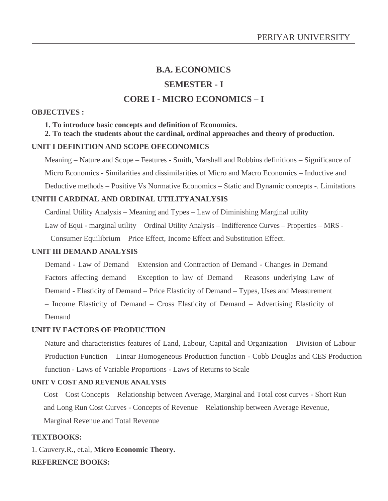## **SEMESTER - I**

## **CORE I - MICRO ECONOMICS – I**

#### **OBJECTIVES :**

**1. To introduce basic concepts and definition of Economics.**

**2. To teach the students about the cardinal, ordinal approaches and theory of production.** 

#### **UNIT I DEFINITION AND SCOPE OFECONOMICS**

Meaning – Nature and Scope – Features - Smith, Marshall and Robbins definitions – Significance of Micro Economics - Similarities and dissimilarities of Micro and Macro Economics – Inductive and Deductive methods – Positive Vs Normative Economics – Static and Dynamic concepts -. Limitations

#### **UNITII CARDINAL AND ORDINAL UTILITYANALYSIS**

Cardinal Utility Analysis – Meaning and Types – Law of Diminishing Marginal utility

Law of Equi - marginal utility – Ordinal Utility Analysis – Indifference Curves – Properties – MRS -

– Consumer Equilibrium – Price Effect, Income Effect and Substitution Effect.

#### **UNIT III DEMAND ANALYSIS**

Demand - Law of Demand – Extension and Contraction of Demand - Changes in Demand – Factors affecting demand – Exception to law of Demand – Reasons underlying Law of Demand - Elasticity of Demand – Price Elasticity of Demand – Types, Uses and Measurement – Income Elasticity of Demand – Cross Elasticity of Demand – Advertising Elasticity of

Demand

#### **UNIT IV FACTORS OF PRODUCTION**

Nature and characteristics features of Land, Labour, Capital and Organization – Division of Labour – Production Function – Linear Homogeneous Production function - Cobb Douglas and CES Production function - Laws of Variable Proportions - Laws of Returns to Scale

#### **UNIT V COST AND REVENUE ANALYSIS**

Cost – Cost Concepts – Relationship between Average, Marginal and Total cost curves - Short Run and Long Run Cost Curves - Concepts of Revenue – Relationship between Average Revenue, Marginal Revenue and Total Revenue

#### **TEXTBOOKS:**

1. Cauvery.R., et.al, **Micro Economic Theory. REFERENCE BOOKS:**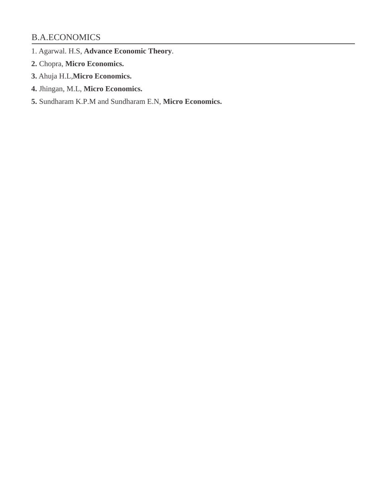- 1. Agarwal. H.S, **Advance Economic Theory**.
- **2.** Chopra, **Micro Economics.**
- **3.** Ahuja H.L,**Micro Economics.**
- **4.** Jhingan, M.L, **Micro Economics.**
- **5.** Sundharam K.P.M and Sundharam E.N, **Micro Economics.**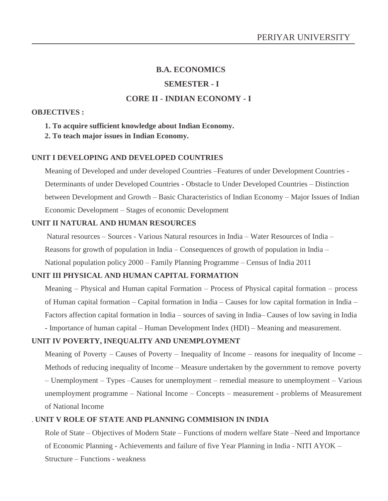#### **SEMESTER - I**

## **CORE II - INDIAN ECONOMY - I**

#### **OBJECTIVES :**

#### **1. To acquire sufficient knowledge about Indian Economy.**

**2. To teach major issues in Indian Economy.**

#### **UNIT I DEVELOPING AND DEVELOPED COUNTRIES**

Meaning of Developed and under developed Countries –Features of under Development Countries - Determinants of under Developed Countries - Obstacle to Under Developed Countries – Distinction between Development and Growth – Basic Characteristics of Indian Economy – Major Issues of Indian Economic Development – Stages of economic Development

#### **UNIT II NATURAL AND HUMAN RESOURCES**

Natural resources – Sources - Various Natural resources in India – Water Resources of India – Reasons for growth of population in India – Consequences of growth of population in India – National population policy 2000 – Family Planning Programme – Census of India 2011

#### **UNIT III PHYSICAL AND HUMAN CAPITAL FORMATION**

Meaning – Physical and Human capital Formation – Process of Physical capital formation – process of Human capital formation – Capital formation in India – Causes for low capital formation in India – Factors affection capital formation in India – sources of saving in India– Causes of low saving in India

- Importance of human capital – Human Development Index (HDI) – Meaning and measurement.

#### **UNIT IV POVERTY, INEQUALITY AND UNEMPLOYMENT**

Meaning of Poverty – Causes of Poverty – Inequality of Income – reasons for inequality of Income – Methods of reducing inequality of Income – Measure undertaken by the government to remove poverty – Unemployment – Types –Causes for unemployment – remedial measure to unemployment – Various unemployment programme – National Income – Concepts – measurement - problems of Measurement of National Income

#### . **UNIT V ROLE OF STATE AND PLANNING COMMISION IN INDIA**

Role of State – Objectives of Modern State – Functions of modern welfare State –Need and Importance of Economic Planning - Achievements and failure of five Year Planning in India - NITI AYOK – Structure – Functions - weakness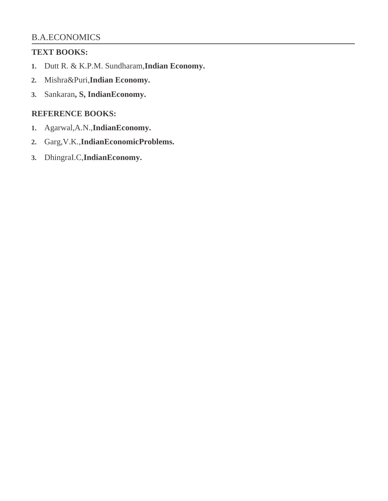## **TEXT BOOKS:**

- **1.** Dutt R. & K.P.M. Sundharam,**Indian Economy.**
- **2.** Mishra&Puri,**Indian Economy.**
- **3.** Sankaran**, S, IndianEconomy.**

# **REFERENCE BOOKS:**

- **1.** Agarwal,A.N.,**IndianEconomy.**
- **2.** Garg,V.K.,**IndianEconomicProblems.**
- **3.** DhingraI.C,**IndianEconomy.**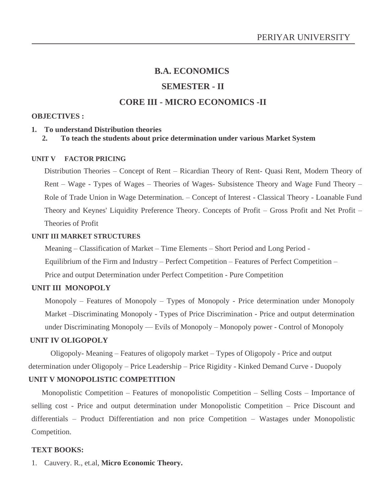# **B.A. ECONOMICS SEMESTER - II**

## **CORE III - MICRO ECONOMICS -II**

#### **OBJECTIVES :**

#### **1. To understand Distribution theories**

#### **2. To teach the students about price determination under various Market System**

#### **UNIT V FACTOR PRICING**

Distribution Theories – Concept of Rent – Ricardian Theory of Rent- Quasi Rent, Modern Theory of Rent – Wage - Types of Wages – Theories of Wages- Subsistence Theory and Wage Fund Theory – Role of Trade Union in Wage Determination. – Concept of Interest - Classical Theory - Loanable Fund Theory and Keynes' Liquidity Preference Theory. Concepts of Profit – Gross Profit and Net Profit – Theories of Profit

#### **UNIT III MARKET STRUCTURES**

Meaning – Classification of Market – Time Elements – Short Period and Long Period - Equilibrium of the Firm and Industry – Perfect Competition – Features of Perfect Competition – Price and output Determination under Perfect Competition - Pure Competition

#### **UNIT III MONOPOLY**

Monopoly – Features of Monopoly – Types of Monopoly - Price determination under Monopoly Market –Discriminating Monopoly - Types of Price Discrimination - Price and output determination under Discriminating Monopoly –– Evils of Monopoly – Monopoly power - Control of Monopoly

#### **UNIT IV OLIGOPOLY**

Oligopoly- Meaning – Features of oligopoly market – Types of Oligopoly - Price and output determination under Oligopoly – Price Leadership – Price Rigidity - Kinked Demand Curve - Duopoly

## **UNIT V MONOPOLISTIC COMPETITION**

Monopolistic Competition – Features of monopolistic Competition – Selling Costs – Importance of selling cost - Price and output determination under Monopolistic Competition – Price Discount and differentials – Product Differentiation and non price Competition – Wastages under Monopolistic Competition.

#### **TEXT BOOKS:**

1. Cauvery. R., et.al, **Micro Economic Theory.**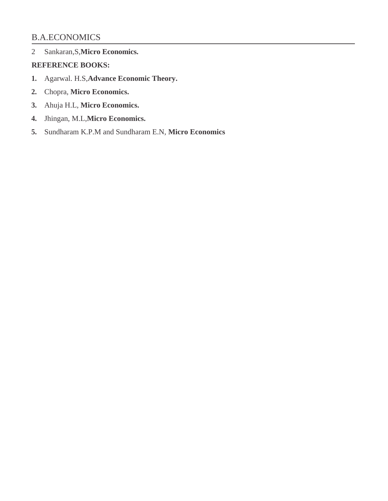2 Sankaran,S,**Micro Economics.** 

## **REFERENCE BOOKS:**

- **1.** Agarwal. H.S,**Advance Economic Theory.**
- **2.** Chopra, **Micro Economics.**
- **3.** Ahuja H.L, **Micro Economics.**
- **4.** Jhingan, M.L,**Micro Economics.**
- **5.** Sundharam K.P.M and Sundharam E.N, **Micro Economics**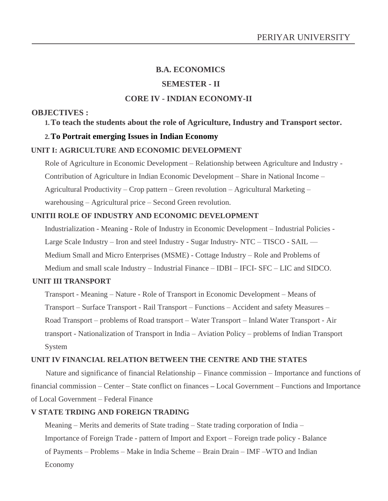# **B.A. ECONOMICS SEMESTER - II CORE IV - INDIAN ECONOMY-II**

## **OBJECTIVES :**

## **1.To teach the students about the role of Agriculture, Industry and Transport sector.**

#### **2.To Portrait emerging Issues in Indian Economy**

#### **UNIT I: AGRICULTURE AND ECONOMIC DEVELOPMENT**

Role of Agriculture in Economic Development – Relationship between Agriculture and Industry - Contribution of Agriculture in Indian Economic Development – Share in National Income – Agricultural Productivity – Crop pattern – Green revolution – Agricultural Marketing – warehousing – Agricultural price – Second Green revolution.

#### **UNITII ROLE OF INDUSTRY AND ECONOMIC DEVELOPMENT**

Industrialization - Meaning - Role of Industry in Economic Development – Industrial Policies - Large Scale Industry – Iron and steel Industry - Sugar Industry- NTC – TISCO - SAIL –– Medium Small and Micro Enterprises (MSME) - Cottage Industry – Role and Problems of Medium and small scale Industry – Industrial Finance – IDBI – IFCI- SFC – LIC and SIDCO.

#### **UNIT III TRANSPORT**

Transport - Meaning – Nature - Role of Transport in Economic Development – Means of Transport – Surface Transport - Rail Transport – Functions – Accident and safety Measures – Road Transport – problems of Road transport – Water Transport – Inland Water Transport - Air transport - Nationalization of Transport in India – Aviation Policy – problems of Indian Transport System

#### **UNIT IV FINANCIAL RELATION BETWEEN THE CENTRE AND THE STATES**

Nature and significance of financial Relationship – Finance commission – Importance and functions of financial commission – Center – State conflict on finances **–** Local Government – Functions and Importance of Local Government – Federal Finance

### **V STATE TRDING AND FOREIGN TRADING**

Meaning – Merits and demerits of State trading – State trading corporation of India – Importance of Foreign Trade - pattern of Import and Export – Foreign trade policy - Balance of Payments – Problems – Make in India Scheme – Brain Drain – IMF –WTO and Indian Economy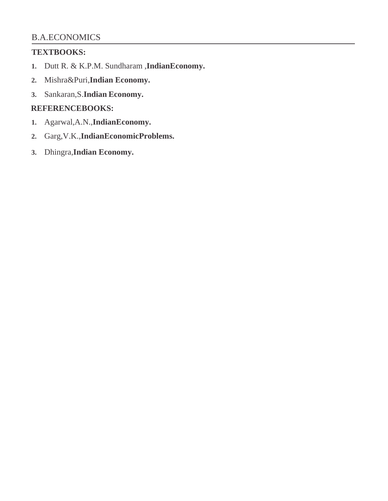## **TEXTBOOKS:**

- **1.** Dutt R. & K.P.M. Sundharam ,**IndianEconomy.**
- **2.** Mishra&Puri,**Indian Economy.**
- **3.** Sankaran,S.**Indian Economy.**

## **REFERENCEBOOKS:**

- **1.** Agarwal,A.N.,**IndianEconomy.**
- **2.** Garg,V.K.,**IndianEconomicProblems.**
- **3.** Dhingra,**Indian Economy.**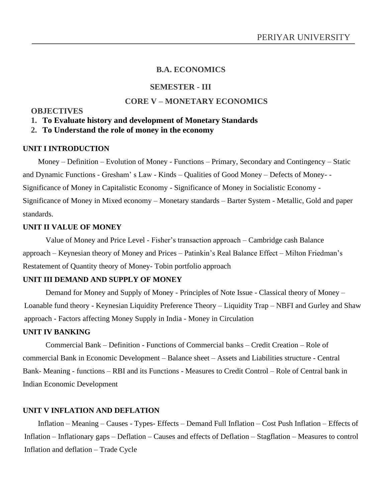### **SEMESTER - III**

## **CORE V – MONETARY ECONOMICS**

#### **OBJECTIVES**

#### **1. To Evaluate history and development of Monetary Standards**

#### **2. To Understand the role of money in the economy**

#### **UNIT I INTRODUCTION**

Money – Definition – Evolution of Money - Functions – Primary, Secondary and Contingency – Static and Dynamic Functions - Gresham' s Law - Kinds – Qualities of Good Money – Defects of Money- - Significance of Money in Capitalistic Economy - Significance of Money in Socialistic Economy - Significance of Money in Mixed economy – Monetary standards – Barter System - Metallic, Gold and paper standards.

#### **UNIT II VALUE OF MONEY**

Value of Money and Price Level - Fisher's transaction approach – Cambridge cash Balance approach – Keynesian theory of Money and Prices – Patinkin's Real Balance Effect – Milton Friedman's Restatement of Quantity theory of Money- Tobin portfolio approach

#### **UNIT III DEMAND AND SUPPLY OF MONEY**

Demand for Money and Supply of Money - Principles of Note Issue - Classical theory of Money – Loanable fund theory - Keynesian Liquidity Preference Theory – Liquidity Trap – NBFI and Gurley and Shaw approach - Factors affecting Money Supply in India - Money in Circulation

#### **UNIT IV BANKING**

Commercial Bank – Definition - Functions of Commercial banks – Credit Creation – Role of commercial Bank in Economic Development – Balance sheet – Assets and Liabilities structure - Central Bank- Meaning - functions – RBI and its Functions - Measures to Credit Control – Role of Central bank in Indian Economic Development

#### **UNIT V INFLATION AND DEFLATION**

Inflation – Meaning – Causes - Types- Effects – Demand Full Inflation – Cost Push Inflation – Effects of Inflation – Inflationary gaps – Deflation – Causes and effects of Deflation – Stagflation – Measures to control Inflation and deflation – Trade Cycle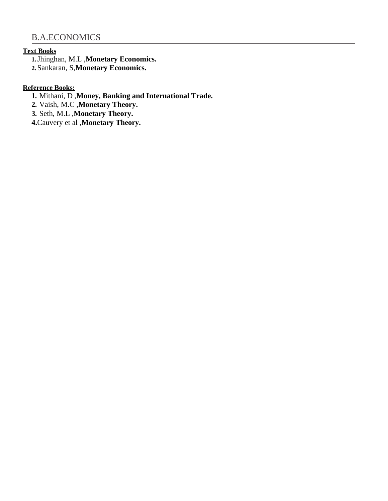#### **Text Books**

**1.**Jhinghan, M.L ,**Monetary Economics.**

**2.**Sankaran, S,**Monetary Economics.**

## **Reference Books:**

**1.** Mithani, D ,**Money, Banking and International Trade.**

**2.** Vaish, M.C ,**Monetary Theory.**

**3.** Seth, M.L ,**Monetary Theory.** 

**4.**Cauvery et al ,**Monetary Theory.**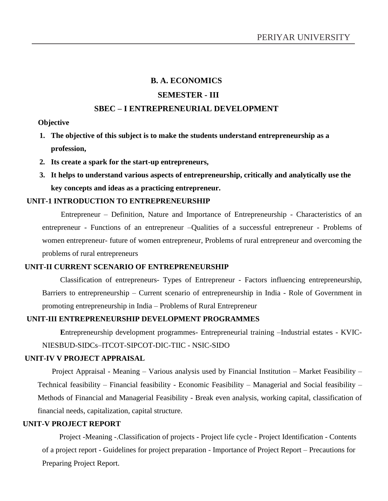#### **SEMESTER - III**

#### **SBEC – I ENTREPRENEURIAL DEVELOPMENT**

#### **Objective**

- **1. The objective of this subject is to make the students understand entrepreneurship as a profession,**
- **2. Its create a spark for the start-up entrepreneurs,**
- **3. It helps to understand various aspects of entrepreneurship, critically and analytically use the key concepts and ideas as a practicing entrepreneur.**

#### **UNIT-1 INTRODUCTION TO ENTREPRENEURSHIP**

Entrepreneur – Definition, Nature and Importance of Entrepreneurship - Characteristics of an entrepreneur - Functions of an entrepreneur –Qualities of a successful entrepreneur - Problems of women entrepreneur- future of women entrepreneur, Problems of rural entrepreneur and overcoming the problems of rural entrepreneurs

#### **UNIT-II CURRENT SCENARIO OF ENTREPRENEURSHIP**

Classification of entrepreneurs- Types of Entrepreneur - Factors influencing entrepreneurship, Barriers to entrepreneurship – Current scenario of entrepreneurship in India - Role of Government in promoting entrepreneurship in India – Problems of Rural Entrepreneur

#### **UNIT-III ENTREPRENEURSHIP DEVELOPMENT PROGRAMMES**

**E**ntrepreneurship development programmes- Entrepreneurial training –Industrial estates - KVIC-NIESBUD-SIDCs–ITCOT-SIPCOT-DIC-TIIC - NSIC-SIDO

#### **UNIT-IV V PROJECT APPRAISAL**

Project Appraisal - Meaning – Various analysis used by Financial Institution – Market Feasibility – Technical feasibility – Financial feasibility - Economic Feasibility – Managerial and Social feasibility – Methods of Financial and Managerial Feasibility - Break even analysis, working capital, classification of financial needs, capitalization, capital structure.

#### **UNIT-V PROJECT REPORT**

Project -Meaning -.Classification of projects - Project life cycle - Project Identification - Contents of a project report - Guidelines for project preparation - Importance of Project Report – Precautions for Preparing Project Report.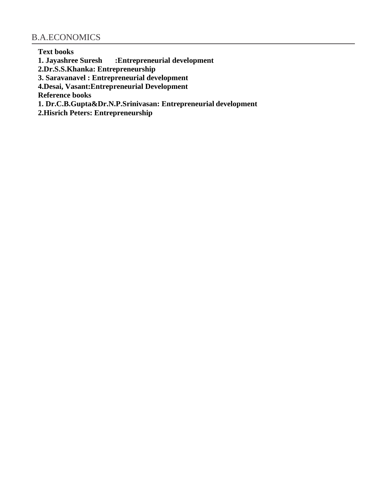**Text books 1. Jayashree Suresh :Entrepreneurial development** 

**2.Dr.S.S.Khanka: Entrepreneurship**

**3. Saravanavel : Entrepreneurial development** 

**4.Desai, Vasant:Entrepreneurial Development** 

**Reference books**

**1. Dr.C.B.Gupta&Dr.N.P.Srinivasan: Entrepreneurial development** 

**2.Hisrich Peters: Entrepreneurship**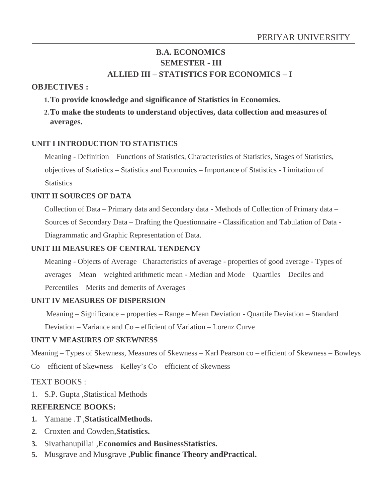## **B.A. ECONOMICS SEMESTER - III ALLIED III – STATISTICS FOR ECONOMICS – I**

## **OBJECTIVES :**

**1.To provide knowledge and significance of Statistics in Economics.**

**2.To make the students to understand objectives, data collection and measures of averages.**

## **UNIT I INTRODUCTION TO STATISTICS**

Meaning - Definition – Functions of Statistics, Characteristics of Statistics, Stages of Statistics, objectives of Statistics – Statistics and Economics – Importance of Statistics - Limitation of **Statistics** 

## **UNIT II SOURCES OF DATA**

Collection of Data – Primary data and Secondary data - Methods of Collection of Primary data – Sources of Secondary Data – Drafting the Questionnaire - Classification and Tabulation of Data - Diagrammatic and Graphic Representation of Data.

## **UNIT III MEASURES OF CENTRAL TENDENCY**

Meaning - Objects of Average –Characteristics of average - properties of good average - Types of averages – Mean – weighted arithmetic mean - Median and Mode – Quartiles – Deciles and Percentiles – Merits and demerits of Averages

## **UNIT IV MEASURES OF DISPERSION**

Meaning – Significance – properties – Range – Mean Deviation - Quartile Deviation – Standard Deviation – Variance and Co – efficient of Variation – Lorenz Curve

## **UNIT V MEASURES OF SKEWNESS**

Meaning – Types of Skewness, Measures of Skewness – Karl Pearson co – efficient of Skewness – Bowleys Co – efficient of Skewness – Kelley's Co – efficient of Skewness

## TEXT BOOKS :

1. S.P. Gupta ,Statistical Methods

## **REFERENCE BOOKS:**

- **1.** Yamane .T ,**StatisticalMethods.**
- **2.** Croxten and Cowden,**Statistics.**
- **3.** Sivathanupillai ,**Economics and BusinessStatistics.**
- **5.** Musgrave and Musgrave ,**Public finance Theory andPractical.**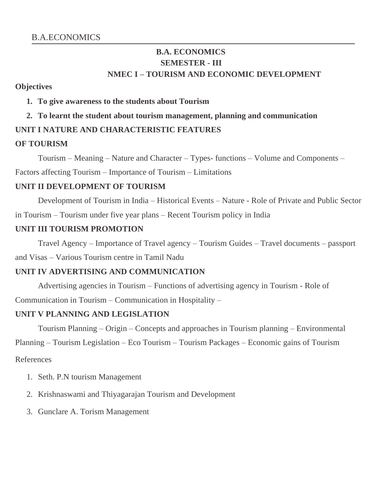# **B.A. ECONOMICS SEMESTER - III NMEC I – TOURISM AND ECONOMIC DEVELOPMENT**

## **Objectives**

## **1. To give awareness to the students about Tourism**

## **2. To learnt the student about tourism management, planning and communication**

## **UNIT I NATURE AND CHARACTERISTIC FEATURES**

## **OF TOURISM**

Tourism – Meaning – Nature and Character – Types- functions – Volume and Components – Factors affecting Tourism – Importance of Tourism – Limitations

## **UNIT II DEVELOPMENT OF TOURISM**

Development of Tourism in India – Historical Events – Nature - Role of Private and Public Sector in Tourism – Tourism under five year plans – Recent Tourism policy in India

## **UNIT III TOURISM PROMOTION**

Travel Agency – Importance of Travel agency – Tourism Guides – Travel documents – passport and Visas – Various Tourism centre in Tamil Nadu

## **UNIT IV ADVERTISING AND COMMUNICATION**

Advertising agencies in Tourism – Functions of advertising agency in Tourism - Role of Communication in Tourism – Communication in Hospitality –

## **UNIT V PLANNING AND LEGISLATION**

Tourism Planning – Origin – Concepts and approaches in Tourism planning – Environmental Planning – Tourism Legislation – Eco Tourism – Tourism Packages – Economic gains of Tourism References

- 1. Seth. P.N tourism Management
- 2. Krishnaswami and Thiyagarajan Tourism and Development
- 3. Gunclare A. Torism Management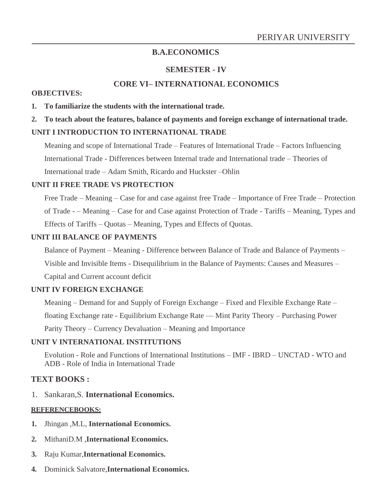## **SEMESTER - IV**

## **CORE VI– INTERNATIONAL ECONOMICS**

#### **OBJECTIVES:**

- **1. To familiarize the students with the international trade.**
- **2. To teach about the features, balance of payments and foreign exchange of international trade.**

## **UNIT I INTRODUCTION TO INTERNATIONAL TRADE**

Meaning and scope of International Trade – Features of International Trade – Factors Influencing International Trade - Differences between Internal trade and International trade – Theories of International trade – Adam Smith, Ricardo and Huckster –Ohlin

### **UNIT II FREE TRADE VS PROTECTION**

Free Trade – Meaning – Case for and case against free Trade – Importance of Free Trade – Protection of Trade - – Meaning – Case for and Case against Protection of Trade - Tariffs – Meaning, Types and Effects of Tariffs – Quotas – Meaning, Types and Effects of Quotas.

### **UNIT III BALANCE OF PAYMENTS**

Balance of Payment – Meaning - Difference between Balance of Trade and Balance of Payments – Visible and Invisible Items - Disequilibrium in the Balance of Payments: Causes and Measures – Capital and Current account deficit

## **UNIT IV FOREIGN EXCHANGE**

Meaning – Demand for and Supply of Foreign Exchange – Fixed and Flexible Exchange Rate – floating Exchange rate - Equilibrium Exchange Rate –– Mint Parity Theory – Purchasing Power Parity Theory – Currency Devaluation – Meaning and Importance

## **UNIT V INTERNATIONAL INSTITUTIONS**

Evolution - Role and Functions of International Institutions – IMF - IBRD – UNCTAD - WTO and ADB - Role of India in International Trade

## **TEXT BOOKS :**

1. Sankaran,S. **International Economics.**

## **REFERENCEBOOKS:**

- **1.** Jhingan ,M.L, **International Economics.**
- **2.** MithaniD.M ,**International Economics.**
- **3.** Raju Kumar,**International Economics.**
- **4.** Dominick Salvatore,**International Economics.**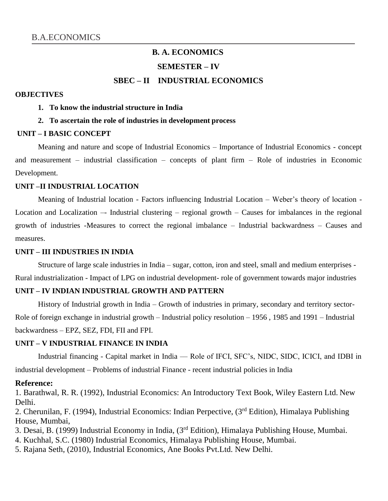# **B. A. ECONOMICS SEMESTER – IV SBEC – II INDUSTRIAL ECONOMICS**

#### **OBJECTIVES**

- **1. To know the industrial structure in India**
- **2. To ascertain the role of industries in development process**

#### **UNIT – I BASIC CONCEPT**

Meaning and nature and scope of Industrial Economics – Importance of Industrial Economics - concept and measurement – industrial classification – concepts of plant firm – Role of industries in Economic Development.

#### **UNIT –II INDUSTRIAL LOCATION**

Meaning of Industrial location - Factors influencing Industrial Location – Weber's theory of location - Location and Localization –- Industrial clustering – regional growth – Causes for imbalances in the regional growth of industries -Measures to correct the regional imbalance – Industrial backwardness – Causes and measures.

#### **UNIT – III INDUSTRIES IN INDIA**

Structure of large scale industries in India – sugar, cotton, iron and steel, small and medium enterprises - Rural industrialization - Impact of LPG on industrial development- role of government towards major industries

#### **UNIT – IV INDIAN INDUSTRIAL GROWTH AND PATTERN**

History of Industrial growth in India – Growth of industries in primary, secondary and territory sector-Role of foreign exchange in industrial growth – Industrial policy resolution – 1956 , 1985 and 1991 – Industrial backwardness – EPZ, SEZ, FDI, FII and FPI.

#### **UNIT – V INDUSTRIAL FINANCE IN INDIA**

Industrial financing - Capital market in India –– Role of IFCI, SFC's, NIDC, SIDC, ICICI, and IDBI in industrial development – Problems of industrial Finance - recent industrial policies in India

#### **Reference:**

1. Barathwal, R. R. (1992), Industrial Economics: An Introductory Text Book, Wiley Eastern Ltd. New Delhi.

2. Cherunilan, F. (1994), Industrial Economics: Indian Perpective, (3rd Edition), Himalaya Publishing House, Mumbai,

- 3. Desai, B. (1999) Industrial Economy in India, (3rd Edition), Himalaya Publishing House, Mumbai.
- 4. Kuchhal, S.C. (1980) Industrial Economics, Himalaya Publishing House, Mumbai.
- 5. Rajana Seth, (2010), Industrial Economics, Ane Books Pvt.Ltd. New Delhi.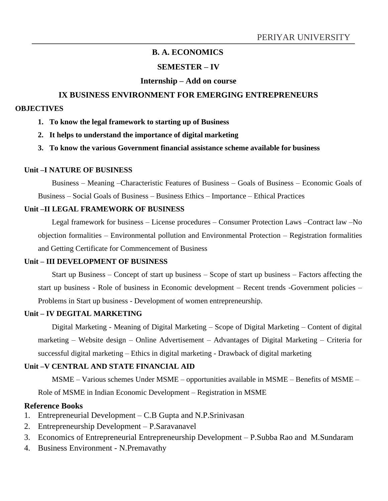## **SEMESTER – IV**

## **Internship – Add on course**

## **IX BUSINESS ENVIRONMENT FOR EMERGING ENTREPRENEURS**

#### **OBJECTIVES**

- **1. To know the legal framework to starting up of Business**
- **2. It helps to understand the importance of digital marketing**
- **3. To know the various Government financial assistance scheme available for business**

### **Unit –I NATURE OF BUSINESS**

Business – Meaning –Characteristic Features of Business – Goals of Business – Economic Goals of Business – Social Goals of Business – Business Ethics – Importance – Ethical Practices

## **Unit –II LEGAL FRAMEWORK OF BUSINESS**

Legal framework for business – License procedures – Consumer Protection Laws –Contract law –No objection formalities – Environmental pollution and Environmental Protection – Registration formalities and Getting Certificate for Commencement of Business

## **Unit – III DEVELOPMENT OF BUSINESS**

Start up Business – Concept of start up business – Scope of start up business – Factors affecting the start up business - Role of business in Economic development – Recent trends -Government policies – Problems in Start up business - Development of women entrepreneurship.

## **Unit – IV DEGITAL MARKETING**

Digital Marketing - Meaning of Digital Marketing – Scope of Digital Marketing – Content of digital marketing – Website design – Online Advertisement – Advantages of Digital Marketing – Criteria for successful digital marketing – Ethics in digital marketing - Drawback of digital marketing

## **Unit –V CENTRAL AND STATE FINANCIAL AID**

MSME – Various schemes Under MSME – opportunities available in MSME – Benefits of MSME –

Role of MSME in Indian Economic Development – Registration in MSME

## **Reference Books**

- 1. Entrepreneurial Development C.B Gupta and N.P.Srinivasan
- 2. Entrepreneurship Development P.Saravanavel
- 3. Economics of Entrepreneurial Entrepreneurship Development P.Subba Rao and M.Sundaram
- 4. Business Environment N.Premavathy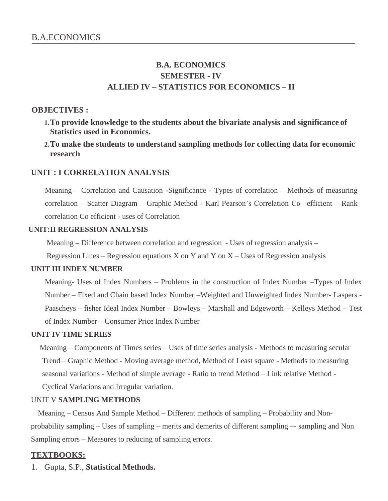# **B.A. ECONOMICS SEMESTER - IV ALLIED IV – STATISTICS FOR ECONOMICS – II**

## **OBJECTIVES :**

- **1.To provide knowledge to the students about the bivariate analysis and significance of Statistics used in Economics.**
- **2.To make the students to understand sampling methods for collecting data for economic research**

## **UNIT : I CORRELATION ANALYSIS**

Meaning – Correlation and Causation -Significance - Types of correlation – Methods of measuring correlation – Scatter Diagram – Graphic Method - Karl Pearson's Correlation Co –efficient – Rank correlation Co efficient - uses of Correlation

## **UNIT:II REGRESSION ANALYSIS**

Meaning **–** Difference between correlation and regression **-** Uses of regression analysis **–**

Regression Lines – Regression equations X on Y and Y on  $X -$ Uses of Regression analysis

#### **UNIT III INDEX NUMBER**

Meaning- Uses of Index Numbers – Problems in the construction of Index Number –Types of Index Number – Fixed and Chain based Index Number –Weighted and Unweighted Index Number- Laspers - Paascheys – fisher Ideal Index Number – Bowleys – Marshall and Edgeworth – Kelleys Method – Test of Index Number – Consumer Price Index Number

## **UNIT IV TIME SERIES**

Meaning – Components of Times series – Uses of time series analysis - Methods to measuring secular Trend – Graphic Method - Moving average method, Method of Least square - Methods to measuring seasonal variations - Method of simple average - Ratio to trend Method – Link relative Method - Cyclical Variations and Irregular variation.

#### UNIT V **SAMPLING METHODS**

Meaning – Census And Sample Method – Different methods of sampling – Probability and Nonprobability sampling – Uses of sampling – merits and demerits of different sampling –- sampling and Non Sampling errors – Measures to reducing of sampling errors.

## **TEXTBOOKS:**

1. Gupta, S.P., **Statistical Methods.**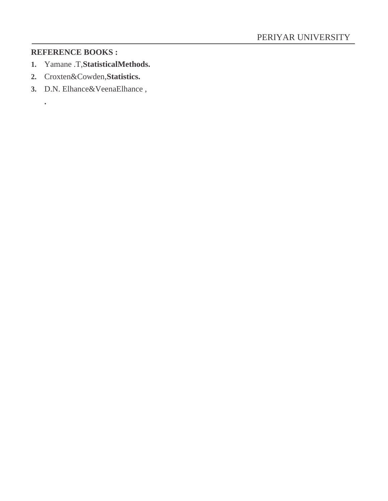## **REFERENCE BOOKS :**

**.**

- **1.** Yamane .T,**StatisticalMethods.**
- **2.** Croxten&Cowden,**Statistics.**
- **3.** D.N. Elhance&VeenaElhance ,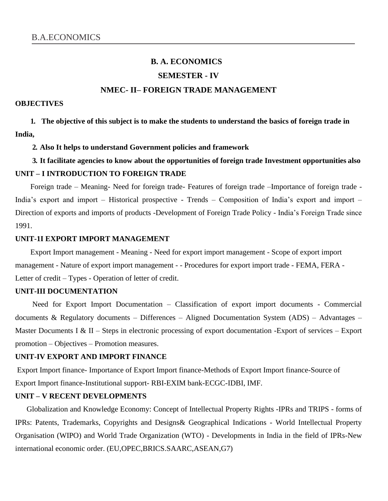# **B. A. ECONOMICS SEMESTER - IV NMEC- II– FOREIGN TRADE MANAGEMENT**

#### **OBJECTIVES**

**1. The objective of this subject is to make the students to understand the basics of foreign trade in India,**

#### **2. Also It helps to understand Government policies and framework**

## **3. It facilitate agencies to know about the opportunities of foreign trade Investment opportunities also UNIT – I INTRODUCTION TO FOREIGN TRADE**

Foreign trade – Meaning- Need for foreign trade- Features of foreign trade –Importance of foreign trade - India's export and import – Historical prospective - Trends – Composition of India's export and import – Direction of exports and imports of products -Development of Foreign Trade Policy - India's Foreign Trade since 1991.

#### **UNIT-1I EXPORT IMPORT MANAGEMENT**

Export Import management - Meaning - Need for export import management - Scope of export import management - Nature of export import management - - Procedures for export import trade - FEMA, FERA - Letter of credit – Types - Operation of letter of credit.

#### **UNIT-III DOCUMENTATION**

Need for Export Import Documentation – Classification of export import documents - Commercial documents & Regulatory documents – Differences – Aligned Documentation System (ADS) – Advantages – Master Documents I & II – Steps in electronic processing of export documentation -Export of services – Export promotion – Objectives – Promotion measures.

#### **UNIT-IV EXPORT AND IMPORT FINANCE**

Export Import finance- Importance of Export Import finance-Methods of Export Import finance-Source of Export Import finance-Institutional support- RBI-EXIM bank-ECGC-IDBI, IMF.

#### **UNIT – V RECENT DEVELOPMENTS**

Globalization and Knowledge Economy: Concept of Intellectual Property Rights -IPRs and TRIPS - forms of IPRs: Patents, Trademarks, Copyrights and Designs& Geographical Indications - World Intellectual Property Organisation (WIPO) and World Trade Organization (WTO) - Developments in India in the field of IPRs-New international economic order. (EU,OPEC,BRICS.SAARC,ASEAN,G7)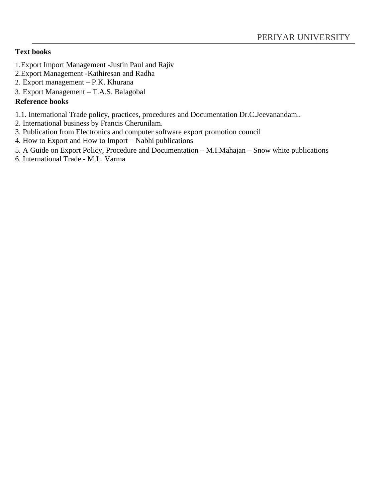## **Text books**

- 1.Export Import Management -Justin Paul and Rajiv
- 2.Export Management -Kathiresan and Radha
- 2. Export management P.K. Khurana
- 3. Export Management T.A.S. Balagobal

## **Reference books**

- 1.1. International Trade policy, practices, procedures and Documentation Dr.C.Jeevanandam..
- 2. International business by Francis Cherunilam.
- 3. Publication from Electronics and computer software export promotion council
- 4. How to Export and How to Import Nabhi publications
- 5. A Guide on Export Policy, Procedure and Documentation M.I.Mahajan Snow white publications
- 6. International Trade M.L. Varma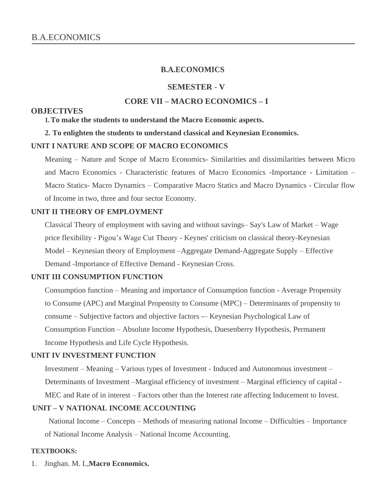#### **SEMESTER - V**

## **CORE VII – MACRO ECONOMICS – I**

#### **OBJECTIVES**

**1.To make the students to understand the Macro Economic aspects.**

#### **2. To enlighten the students to understand classical and Keynesian Economics.**

#### **UNIT I NATURE AND SCOPE OF MACRO ECONOMICS**

Meaning – Nature and Scope of Macro Economics- Similarities and dissimilarities between Micro and Macro Economics - Characteristic features of Macro Economics -Importance - Limitation – Macro Statics- Macro Dynamics – Comparative Macro Statics and Macro Dynamics - Circular flow of Income in two, three and four sector Economy.

#### **UNIT II THEORY OF EMPLOYMENT**

Classical Theory of employment with saving and without savings– Say's Law of Market – Wage price flexibility - Pigou's Wage Cut Theory - Keynes' criticism on classical theory-Keynesian Model – Keynesian theory of Employment –Aggregate Demand-Aggregate Supply – Effective Demand -Importance of Effective Demand - Keynesian Cross.

### **UNIT III CONSUMPTION FUNCTION**

Consumption function – Meaning and importance of Consumption function - Average Propensity to Consume (APC) and Marginal Propensity to Consume (MPC) – Determinants of propensity to consume – Subjective factors and objective factors -– Keynesian Psychological Law of Consumption Function – Absolute Income Hypothesis, Duesenberry Hypothesis, Permanent Income Hypothesis and Life Cycle Hypothesis.

#### **UNIT IV INVESTMENT FUNCTION**

Investment – Meaning – Various types of Investment - Induced and Autonomous investment – Determinants of Investment –Marginal efficiency of investment – Marginal efficiency of capital - MEC and Rate of in interest – Factors other than the Interest rate affecting Inducement to Invest.

#### **UNIT – V NATIONAL INCOME ACCOUNTING**

National Income – Concepts – Methods of measuring national Income – Difficulties – Importance of National Income Analysis – National Income Accounting.

#### **TEXTBOOKS:**

1. Jinghan. M. L,**Macro Economics.**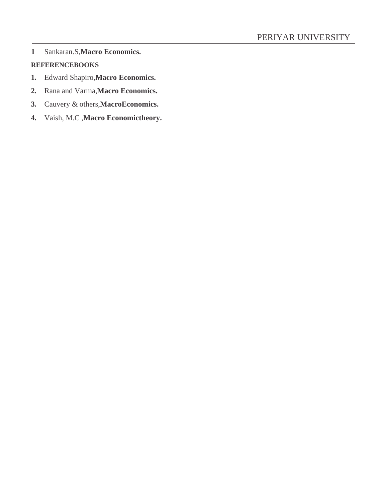**1** Sankaran.S,**Macro Economics.**

## **REFERENCEBOOKS**

- **1.** Edward Shapiro,**Macro Economics.**
- **2.** Rana and Varma,**Macro Economics.**
- **3.** Cauvery & others,**MacroEconomics.**
- **4.** Vaish, M.C ,**Macro Economictheory.**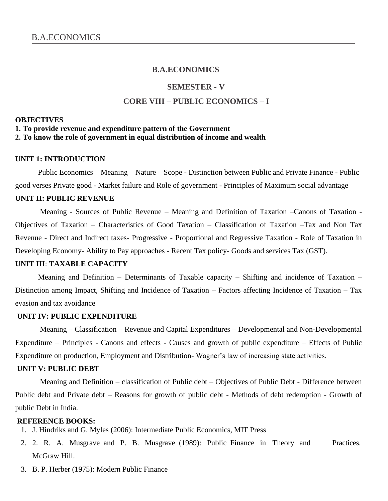#### **SEMESTER - V**

#### **CORE VIII – PUBLIC ECONOMICS – I**

#### **OBJECTIVES**

#### **1. To provide revenue and expenditure pattern of the Government**

**2. To know the role of government in equal distribution of income and wealth**

#### **UNIT 1: INTRODUCTION**

Public Economics – Meaning – Nature – Scope - Distinction between Public and Private Finance - Public good verses Private good - Market failure and Role of government - Principles of Maximum social advantage

#### **UNIT II: PUBLIC REVENUE**

Meaning - Sources of Public Revenue – Meaning and Definition of Taxation –Canons of Taxation - Objectives of Taxation – Characteristics of Good Taxation – Classification of Taxation –Tax and Non Tax Revenue - Direct and Indirect taxes- Progressive - Proportional and Regressive Taxation - Role of Taxation in Developing Economy- Ability to Pay approaches - Recent Tax policy- Goods and services Tax (GST).

#### **UNIT III**: **TAXABLE CAPACITY**

Meaning and Definition – Determinants of Taxable capacity – Shifting and incidence of Taxation – Distinction among Impact, Shifting and Incidence of Taxation – Factors affecting Incidence of Taxation – Tax evasion and tax avoidance

#### **UNIT IV: PUBLIC EXPENDITURE**

Meaning – Classification – Revenue and Capital Expenditures – Developmental and Non-Developmental Expenditure – Principles - Canons and effects - Causes and growth of public expenditure – Effects of Public Expenditure on production, Employment and Distribution- Wagner's law of increasing state activities.

#### **UNIT V: PUBLIC DEBT**

Meaning and Definition – classification of Public debt – Objectives of Public Debt - Difference between Public debt and Private debt – Reasons for growth of public debt - Methods of debt redemption - Growth of public Debt in India.

#### **REFERENCE BOOKS:**

- 1. J. Hindriks and G. Myles (2006): Intermediate Public Economics, MIT Press
- 2. 2. R. A. Musgrave and P. B. Musgrave (1989): Public Finance in Theory and Practices. McGraw Hill.
- 3. B. P. Herber (1975): Modern Public Finance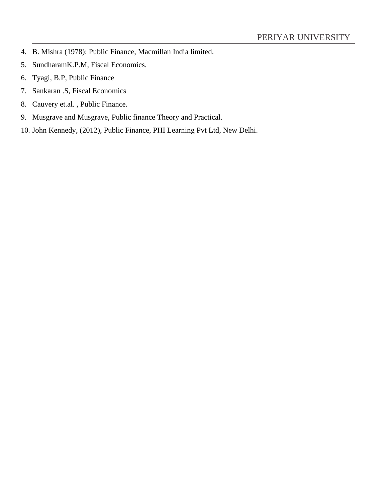- 4. B. Mishra (1978): Public Finance, Macmillan India limited.
- 5. SundharamK.P.M, Fiscal Economics.
- 6. Tyagi, B.P, Public Finance
- 7. Sankaran .S, Fiscal Economics
- 8. Cauvery et.al. , Public Finance.
- 9. Musgrave and Musgrave, Public finance Theory and Practical.
- 10. John Kennedy, (2012), Public Finance, PHI Learning Pvt Ltd, New Delhi.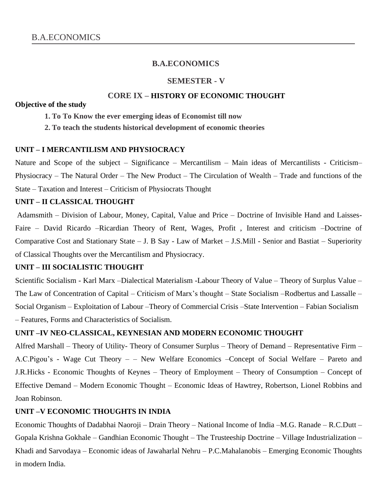#### **SEMESTER - V**

## **CORE IX – HISTORY OF ECONOMIC THOUGHT**

#### **Objective of the study**

- **1. To To Know the ever emerging ideas of Economist till now**
- **2. To teach the students historical development of economic theories**

#### **UNIT – I MERCANTILISM AND PHYSIOCRACY**

Nature and Scope of the subject – Significance – Mercantilism – Main ideas of Mercantilists - Criticism– Physiocracy – The Natural Order – The New Product – The Circulation of Wealth – Trade and functions of the State – Taxation and Interest – Criticism of Physiocrats Thought

## **UNIT – II CLASSICAL THOUGHT**

Adamsmith – Division of Labour, Money, Capital, Value and Price – Doctrine of Invisible Hand and Laisses-Faire – David Ricardo –Ricardian Theory of Rent, Wages, Profit , Interest and criticism –Doctrine of Comparative Cost and Stationary State – J. B Say - Law of Market – J.S.Mill - Senior and Bastiat – Superiority of Classical Thoughts over the Mercantilism and Physiocracy.

#### **UNIT – III SOCIALISTIC THOUGHT**

Scientific Socialism - Karl Marx –Dialectical Materialism -Labour Theory of Value – Theory of Surplus Value – The Law of Concentration of Capital – Criticism of Marx's thought – State Socialism –Rodbertus and Lassalle – Social Organism – Exploitation of Labour –Theory of Commercial Crisis –State Intervention – Fabian Socialism – Features, Forms and Characteristics of Socialism.

#### **UNIT –IV NEO-CLASSICAL, KEYNESIAN AND MODERN ECONOMIC THOUGHT**

Alfred Marshall – Theory of Utility- Theory of Consumer Surplus – Theory of Demand – Representative Firm – A.C.Pigou's - Wage Cut Theory – – New Welfare Economics –Concept of Social Welfare – Pareto and J.R.Hicks - Economic Thoughts of Keynes – Theory of Employment – Theory of Consumption – Concept of Effective Demand – Modern Economic Thought – Economic Ideas of Hawtrey, Robertson, Lionel Robbins and Joan Robinson.

#### **UNIT –V ECONOMIC THOUGHTS IN INDIA**

Economic Thoughts of Dadabhai Naoroji – Drain Theory – National Income of India –M.G. Ranade – R.C.Dutt – Gopala Krishna Gokhale – Gandhian Economic Thought – The Trusteeship Doctrine – Village Industrialization – Khadi and Sarvodaya – Economic ideas of Jawaharlal Nehru – P.C.Mahalanobis – Emerging Economic Thoughts in modern India.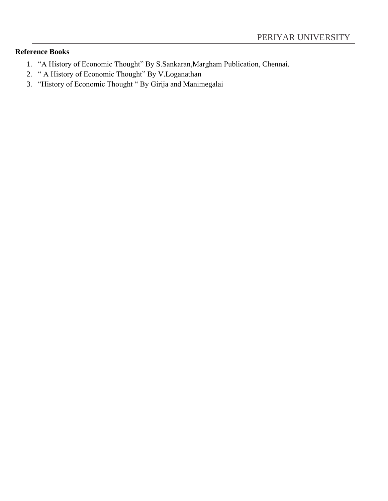## **Reference Books**

- 1. "A History of Economic Thought" By S.Sankaran,Margham Publication, Chennai.
- 2. " A History of Economic Thought" By V.Loganathan
- 3. "History of Economic Thought " By Girija and Manimegalai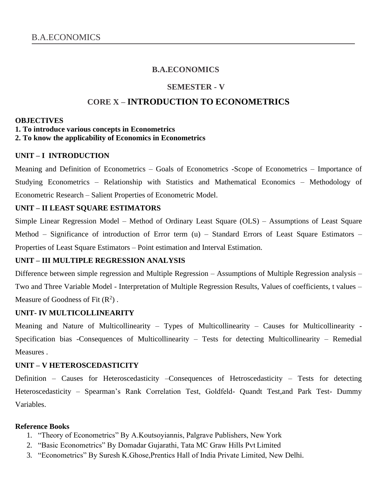## **SEMESTER - V**

## **CORE X – INTRODUCTION TO ECONOMETRICS**

#### **OBJECTIVES**

#### **1. To introduce various concepts in Econometrics**

#### **2. To know the applicability of Economics in Econometrics**

### **UNIT – I INTRODUCTION**

Meaning and Definition of Econometrics – Goals of Econometrics -Scope of Econometrics – Importance of Studying Econometrics – Relationship with Statistics and Mathematical Economics – Methodology of Econometric Research – Salient Properties of Econometric Model.

## **UNIT – II LEAST SQUARE ESTIMATORS**

Simple Linear Regression Model – Method of Ordinary Least Square (OLS) – Assumptions of Least Square Method – Significance of introduction of Error term (u) – Standard Errors of Least Square Estimators – Properties of Least Square Estimators – Point estimation and Interval Estimation.

## **UNIT – III MULTIPLE REGRESSION ANALYSIS**

Difference between simple regression and Multiple Regression – Assumptions of Multiple Regression analysis – Two and Three Variable Model - Interpretation of Multiple Regression Results, Values of coefficients, t values – Measure of Goodness of Fit  $(R^2)$ .

#### **UNIT- IV MULTICOLLINEARITY**

Meaning and Nature of Multicollinearity – Types of Multicollinearity – Causes for Multicollinearity - Specification bias -Consequences of Multicollinearity – Tests for detecting Multicollinearity – Remedial Measures .

#### **UNIT – V HETEROSCEDASTICITY**

Definition – Causes for Heteroscedasticity –Consequences of Hetroscedasticity – Tests for detecting Heteroscedasticity – Spearman's Rank Correlation Test, Goldfeld- Quandt Test,and Park Test- Dummy Variables.

#### **Reference Books**

- 1. "Theory of Econometrics" By A.Koutsoyiannis, Palgrave Publishers, New York
- 2. "Basic Econometrics" By Domadar Gujarathi, Tata MC Graw Hills Pvt Limited
- 3. "Econometrics" By Suresh K.Ghose,Prentics Hall of India Private Limited, New Delhi.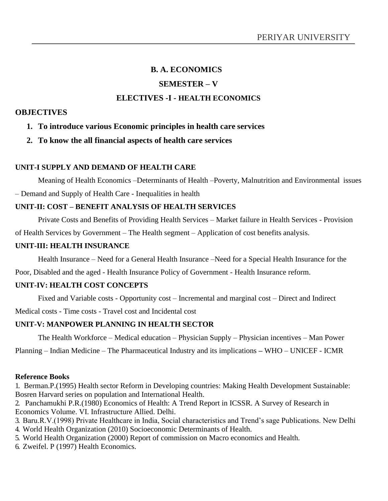# **B. A. ECONOMICS SEMESTER – V ELECTIVES -I - HEALTH ECONOMICS**

## **OBJECTIVES**

## **1. To introduce various Economic principles in health care services**

**2. To know the all financial aspects of health care services**

## **UNIT-I SUPPLY AND DEMAND OF HEALTH CARE**

Meaning of Health Economics –Determinants of Health –Poverty, Malnutrition and Environmental issues – Demand and Supply of Health Care - Inequalities in health

## **UNIT-II: COST – BENEFIT ANALYSIS OF HEALTH SERVICES**

Private Costs and Benefits of Providing Health Services – Market failure in Health Services - Provision of Health Services by Government – The Health segment – Application of cost benefits analysis.

### **UNIT-III: HEALTH INSURANCE**

Health Insurance – Need for a General Health Insurance –Need for a Special Health Insurance for the

Poor, Disabled and the aged - Health Insurance Policy of Government - Health Insurance reform.

## **UNIT-IV: HEALTH COST CONCEPTS**

Fixed and Variable costs - Opportunity cost – Incremental and marginal cost – Direct and Indirect

Medical costs - Time costs - Travel cost and Incidental cost

## **UNIT-V: MANPOWER PLANNING IN HEALTH SECTOR**

The Health Workforce – Medical education – Physician Supply – Physician incentives – Man Power

Planning – Indian Medicine – The Pharmaceutical Industry and its implications **–** WHO – UNICEF - ICMR

#### **Reference Books**

1. Berman.P.(1995) Health sector Reform in Developing countries: Making Health Development Sustainable: Bosren Harvard series on population and International Health.

2. Panchamukhi P.R.(1980) Economics of Health: A Trend Report in ICSSR. A Survey of Research in Economics Volume. VI. Infrastructure Allied. Delhi.

- 3. Baru.R.V.(1998) Private Healthcare in India, Social characteristics and Trend's sage Publications. New Delhi
- 4. World Health Organization (2010) Socioeconomic Determinants of Health.
- 5. World Health Organization (2000) Report of commission on Macro economics and Health.
- 6. Zweifel. P (1997) Health Economics.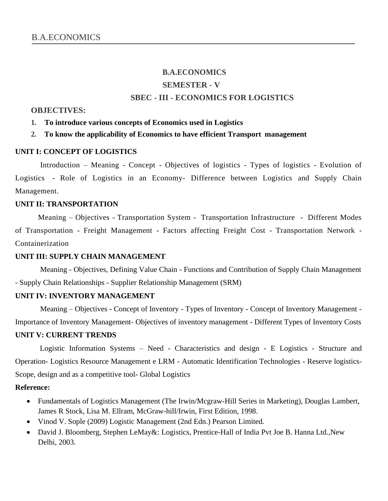# **B.A.ECONOMICS SEMESTER - V SBEC - III - ECONOMICS FOR LOGISTICS**

#### **OBJECTIVES:**

#### **1. To introduce various concepts of Economics used in Logistics**

#### **2. To know the applicability of Economics to have efficient Transport management**

#### **UNIT I: CONCEPT OF LOGISTICS**

Introduction – Meaning - Concept - Objectives of logistics - Types of logistics - Evolution of Logistics - Role of Logistics in an Economy- Difference between Logistics and Supply Chain Management.

#### **UNIT II: TRANSPORTATION**

Meaning – Objectives - Transportation System - Transportation Infrastructure - Different Modes of Transportation - Freight Management - Factors affecting Freight Cost - Transportation Network - Containerization

#### **UNIT III: SUPPLY CHAIN MANAGEMENT**

Meaning - Objectives, Defining Value Chain - Functions and Contribution of Supply Chain Management - Supply Chain Relationships - Supplier Relationship Management (SRM)

#### **UNIT IV: INVENTORY MANAGEMENT**

Meaning – Objectives - Concept of Inventory - Types of Inventory - Concept of Inventory Management - Importance of Inventory Management- Objectives of inventory management - Different Types of Inventory Costs **UNIT V: CURRENT TRENDS**

Logistic Information Systems – Need - Characteristics and design - E Logistics - Structure and Operation- Logistics Resource Management e LRM - Automatic Identification Technologies - Reserve logistics-Scope, design and as a competitive tool- Global Logistics

#### **Reference:**

- Fundamentals of Logistics Management (The Irwin/Mcgraw-Hill Series in Marketing), Douglas Lambert, James R Stock, Lisa M. Ellram, McGraw-hill/Irwin, First Edition, 1998.
- Vinod V. Sople (2009) Logistic Management (2nd Edn.) Pearson Limited.
- David J. Bloomberg, Stephen LeMay&: Logistics, Prentice-Hall of India Pvt Joe B. Hanna Ltd.,New Delhi, 2003.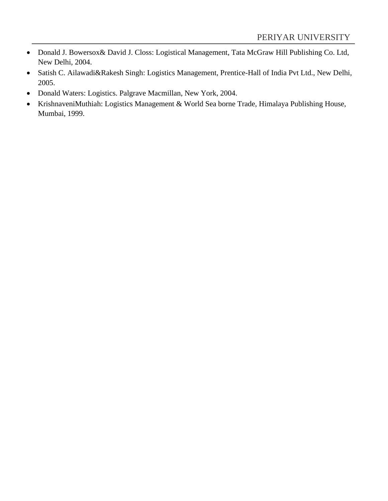- Donald J. Bowersox& David J. Closs: Logistical Management, Tata McGraw Hill Publishing Co. Ltd, New Delhi, 2004.
- Satish C. Ailawadi&Rakesh Singh: Logistics Management, Prentice-Hall of India Pvt Ltd., New Delhi, 2005.
- Donald Waters: Logistics. Palgrave Macmillan, New York, 2004.
- KrishnaveniMuthiah: Logistics Management & World Sea borne Trade, Himalaya Publishing House, Mumbai, 1999.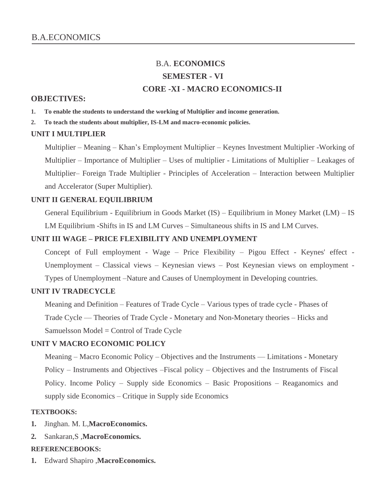# B.A. **ECONOMICS SEMESTER - VI CORE -XI - MACRO ECONOMICS-II**

#### **OBJECTIVES:**

- **1. To enable the students to understand the working of Multiplier and income generation.**
- **2. To teach the students about multiplier, IS-LM and macro-economic policies.**

#### **UNIT I MULTIPLIER**

Multiplier – Meaning – Khan's Employment Multiplier – Keynes Investment Multiplier -Working of Multiplier – Importance of Multiplier – Uses of multiplier - Limitations of Multiplier – Leakages of Multiplier– Foreign Trade Multiplier - Principles of Acceleration – Interaction between Multiplier and Accelerator (Super Multiplier).

#### **UNIT II GENERAL EQUILIBRIUM**

General Equilibrium - Equilibrium in Goods Market (IS) – Equilibrium in Money Market (LM) – IS LM Equilibrium -Shifts in IS and LM Curves – Simultaneous shifts in IS and LM Curves.

#### **UNIT III WAGE – PRICE FLEXIBILITY AND UNEMPLOYMENT**

Concept of Full employment - Wage – Price Flexibility – Pigou Effect - Keynes' effect - Unemployment – Classical views – Keynesian views – Post Keynesian views on employment - Types of Unemployment –Nature and Causes of Unemployment in Developing countries.

#### **UNIT IV TRADECYCLE**

Meaning and Definition – Features of Trade Cycle – Various types of trade cycle - Phases of Trade Cycle –– Theories of Trade Cycle - Monetary and Non-Monetary theories – Hicks and Samuelsson Model = Control of Trade Cycle

#### **UNIT V MACRO ECONOMIC POLICY**

Meaning – Macro Economic Policy – Objectives and the Instruments –– Limitations - Monetary Policy – Instruments and Objectives –Fiscal policy – Objectives and the Instruments of Fiscal Policy. Income Policy – Supply side Economics – Basic Propositions – Reaganomics and supply side Economics – Critique in Supply side Economics

#### **TEXTBOOKS:**

- **1.** Jinghan. M. L,**MacroEconomics.**
- **2.** Sankaran,S ,**MacroEconomics.**

#### **REFERENCEBOOKS:**

**1.** Edward Shapiro ,**MacroEconomics.**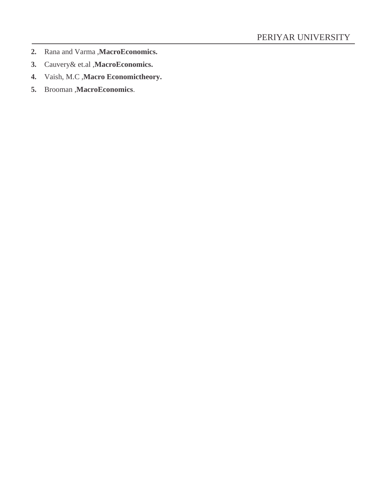- **2.** Rana and Varma ,**MacroEconomics.**
- **3.** Cauvery& et.al ,**MacroEconomics.**
- **4.** Vaish, M.C ,**Macro Economictheory.**
- **5.** Brooman ,**MacroEconomics**.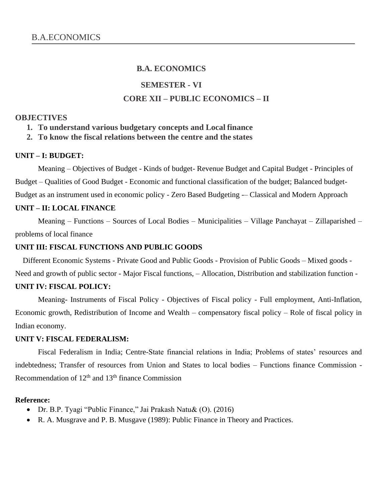## **SEMESTER - VI**

## **CORE XII – PUBLIC ECONOMICS – II**

#### **OBJECTIVES**

**1. To understand various budgetary concepts and Local finance**

**2. To know the fiscal relations between the centre and the states**

#### **UNIT – I: BUDGET:**

Meaning – Objectives of Budget - Kinds of budget- Revenue Budget and Capital Budget - Principles of Budget – Qualities of Good Budget - Economic and functional classification of the budget; Balanced budget-Budget as an instrument used in economic policy - Zero Based Budgeting -– Classical and Modern Approach

#### **UNIT – II: LOCAL FINANCE**

Meaning – Functions – Sources of Local Bodies – Municipalities – Village Panchayat – Zillaparished – problems of local finance

#### **UNIT III: FISCAL FUNCTIONS AND PUBLIC GOODS**

Different Economic Systems - Private Good and Public Goods - Provision of Public Goods – Mixed goods -

Need and growth of public sector - Major Fiscal functions, – Allocation, Distribution and stabilization function -

### **UNIT IV: FISCAL POLICY:**

Meaning- Instruments of Fiscal Policy - Objectives of Fiscal policy - Full employment, Anti-Inflation, Economic growth, Redistribution of Income and Wealth – compensatory fiscal policy – Role of fiscal policy in Indian economy.

### **UNIT V: FISCAL FEDERALISM:**

Fiscal Federalism in India; Centre-State financial relations in India; Problems of states' resources and indebtedness; Transfer of resources from Union and States to local bodies – Functions finance Commission - Recommendation of  $12<sup>th</sup>$  and  $13<sup>th</sup>$  finance Commission

#### **Reference:**

- Dr. B.P. Tyagi "Public Finance," Jai Prakash Natu& (O). (2016)
- R. A. Musgrave and P. B. Musgave (1989): Public Finance in Theory and Practices.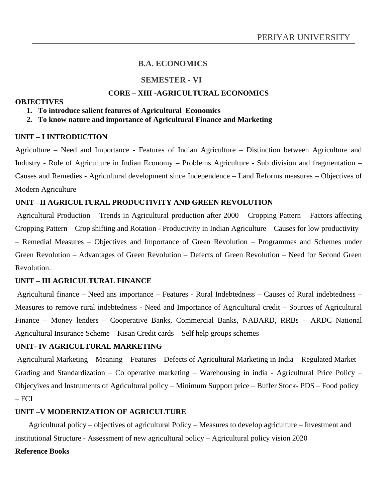### **SEMESTER - VI**

## **CORE – XIII -AGRICULTURAL ECONOMICS**

#### **OBJECTIVES**

**1. To introduce salient features of Agricultural Economics**

#### **2. To know nature and importance of Agricultural Finance and Marketing**

#### **UNIT – I INTRODUCTION**

Agriculture – Need and Importance - Features of Indian Agriculture – Distinction between Agriculture and Industry - Role of Agriculture in Indian Economy – Problems Agriculture - Sub division and fragmentation – Causes and Remedies - Agricultural development since Independence – Land Reforms measures – Objectives of Modern Agriculture

#### **UNIT –II AGRICULTURAL PRODUCTIVITY AND GREEN REVOLUTION**

Agricultural Production – Trends in Agricultural production after 2000 – Cropping Pattern – Factors affecting Cropping Pattern – Crop shifting and Rotation - Productivity in Indian Agriculture – Causes for low productivity – Remedial Measures – Objectives and Importance of Green Revolution – Programmes and Schemes under Green Revolution – Advantages of Green Revolution – Defects of Green Revolution – Need for Second Green Revolution.

#### **UNIT – III AGRICULTURAL FINANCE**

Agricultural finance – Need ans importance – Features - Rural Indebtedness – Causes of Rural indebtedness – Measures to remove rural indebtedness - Need and Importance of Agricultural credit – Sources of Agricultural Finance – Money lenders – Cooperative Banks, Commercial Banks, NABARD, RRBs – ARDC National Agricultural Insurance Scheme – Kisan Credit cards – Self help groups schemes

#### **UNIT- IV AGRICULTURAL MARKETING**

Agricultural Marketing – Meaning – Features – Defects of Agricultural Marketing in India – Regulated Market – Grading and Standardization – Co operative marketing – Warehousing in india - Agricultural Price Policy – Objecyives and Instruments of Agricultural policy – Minimum Support price – Buffer Stock- PDS – Food policy – FCI

#### **UNIT –V MODERNIZATION OF AGRICULTURE**

Agricultural policy – objectives of agricultural Policy – Measures to develop agriculture – Investment and institutional Structure - Assessment of new agricultural policy – Agricultural policy vision 2020

#### **Reference Books**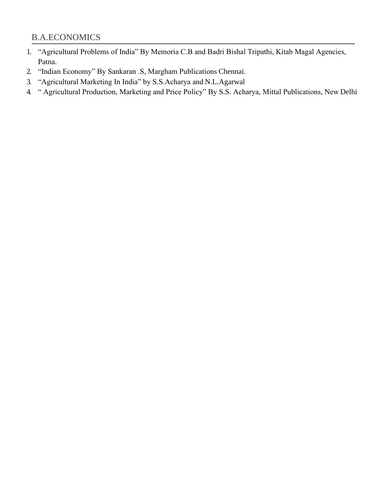- 1. "Agricultural Problems of India" By Memoria C.B and Badri Bishal Tripathi, Kitab Magal Agencies, Patna.
- 2. "Indian Economy" By Sankaran .S, Margham Publications Chennai.
- 3. "Agricultural Marketing In India" by S.S.Acharya and N.L.Agarwal
- 4. " Agricultural Production, Marketing and Price Policy" By S.S. Acharya, Mittal Publications, New Delhi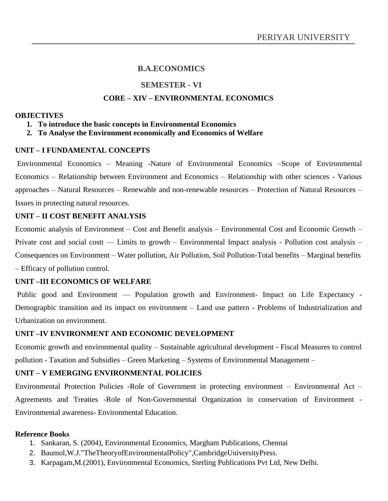## **SEMESTER - VI**

### **CORE – XIV – ENVIRONMENTAL ECONOMICS**

#### **OBJECTIVES**

- **1. To introduce the basic concepts in Environmental Economics**
- **2. To Analyse the Environment economically and Economics of Welfare**

#### **UNIT – I FUNDAMENTAL CONCEPTS**

Environmental Economics – Meaning -Nature of Environmental Economics –Scope of Environmental Economics – Relationship between Environment and Economics – Relationship with other sciences - Various approaches – Natural Resources – Renewable and non-renewable resources – Protection of Natural Resources – Issues in protecting natural resources.

### **UNIT – II COST BENEFIT ANALYSIS**

Economic analysis of Environment – Cost and Benefit analysis – Environmental Cost and Economic Growth – Private cost and social costt –– Limits to growth – Environmental Impact analysis - Pollution cost analysis – Consequences on Environment – Water pollution, Air Pollution, Soil Pollution-Total benefits – Marginal benefits – Efficacy of pollution control.

#### **UNIT –III ECONOMICS OF WELFARE**

Public good and Environment — Population growth and Environment- Impact on Life Expectancy -Demographic transition and its impact on environment – Land use pattern - Problems of Industrialization and Urbanization on environment.

#### **UNIT –IV ENVIRONMENT AND ECONOMIC DEVELOPMENT**

Economic growth and environmental quality – Sustainable agricultural development - Fiscal Measures to control pollution - Taxation and Subsidies – Green Marketing – Systems of Environmental Management –

#### **UNIT – V EMERGING ENVIRONMENTAL POLICIES**

Environmental Protection Policies -Role of Government in protecting environment – Environmental Act – Agreements and Treaties -Role of Non-Governmental Organization in conservation of Environment - Environmental awareness- Environmental Education.

#### **Reference Books**

- 1. Sankaran, S. (2004), Environmental Economics, Margham Publications, Chennai
- 2. Baumol,W.J."TheTheoryofEnvironmentalPolicy",CambridgeUniversityPress.
- 3. Karpagam,M.(2001), Environmental Economics, Sterling Publications Pvt Ltd, New Delhi.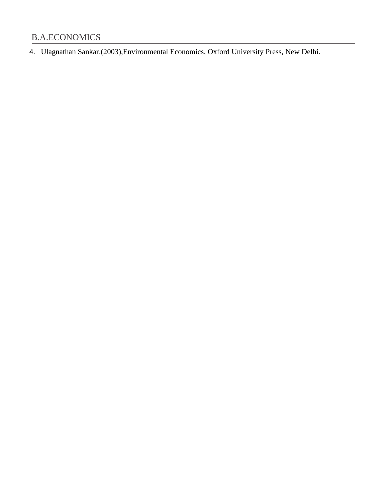4. Ulagnathan Sankar.(2003),Environmental Economics, Oxford University Press, New Delhi.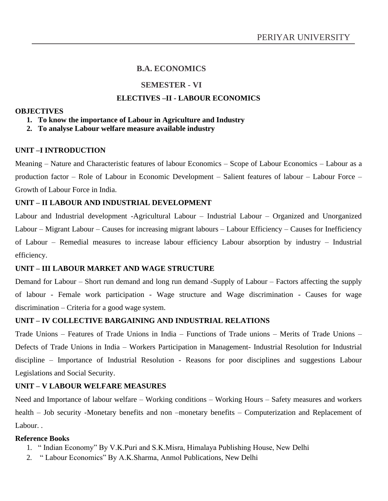## **SEMESTER - VI**

### **ELECTIVES –II - LABOUR ECONOMICS**

#### **OBJECTIVES**

#### **1. To know the importance of Labour in Agriculture and Industry**

#### **2. To analyse Labour welfare measure available industry**

#### **UNIT –I INTRODUCTION**

Meaning – Nature and Characteristic features of labour Economics – Scope of Labour Economics – Labour as a production factor – Role of Labour in Economic Development – Salient features of labour – Labour Force – Growth of Labour Force in India.

### **UNIT – II LABOUR AND INDUSTRIAL DEVELOPMENT**

Labour and Industrial development -Agricultural Labour – Industrial Labour – Organized and Unorganized Labour – Migrant Labour – Causes for increasing migrant labours – Labour Efficiency – Causes for Inefficiency of Labour – Remedial measures to increase labour efficiency Labour absorption by industry – Industrial efficiency.

## **UNIT – III LABOUR MARKET AND WAGE STRUCTURE**

Demand for Labour – Short run demand and long run demand -Supply of Labour – Factors affecting the supply of labour - Female work participation - Wage structure and Wage discrimination - Causes for wage discrimination – Criteria for a good wage system.

#### **UNIT – IV COLLECTIVE BARGAINING AND INDUSTRIAL RELATIONS**

Trade Unions – Features of Trade Unions in India – Functions of Trade unions – Merits of Trade Unions – Defects of Trade Unions in India – Workers Participation in Management- Industrial Resolution for Industrial discipline – Importance of Industrial Resolution - Reasons for poor disciplines and suggestions Labour Legislations and Social Security.

#### **UNIT – V LABOUR WELFARE MEASURES**

Need and Importance of labour welfare – Working conditions – Working Hours – Safety measures and workers health – Job security -Monetary benefits and non –monetary benefits – Computerization and Replacement of Labour. .

#### **Reference Books**

- 1. " Indian Economy" By V.K.Puri and S.K.Misra, Himalaya Publishing House, New Delhi
- 2. " Labour Economics" By A.K.Sharma, Anmol Publications, New Delhi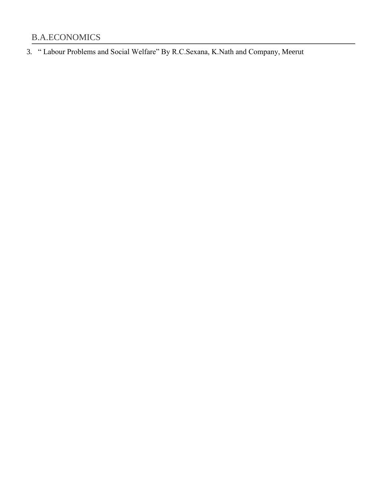3. " Labour Problems and Social Welfare" By R.C.Sexana, K.Nath and Company, Meerut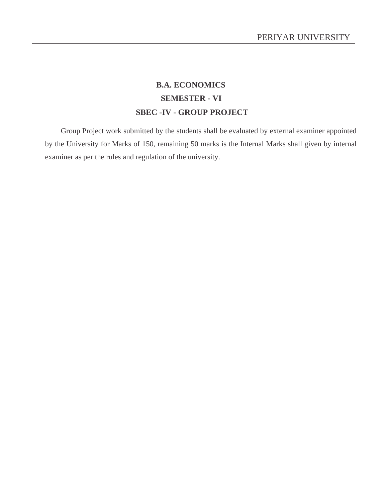# **B.A. ECONOMICS SEMESTER - VI SBEC -IV - GROUP PROJECT**

Group Project work submitted by the students shall be evaluated by external examiner appointed by the University for Marks of 150, remaining 50 marks is the Internal Marks shall given by internal examiner as per the rules and regulation of the university.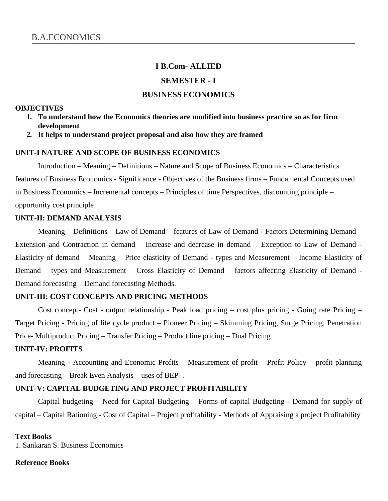### **I B.Com- ALLIED**

#### **SEMESTER - I**

## **BUSINESS ECONOMICS**

#### **OBJECTIVES**

- **1. To understand how the Economics theories are modified into business practice so as for firm development**
- **2. It helps to understand project proposal and also how they are framed**

#### **UNIT-I NATURE AND SCOPE OF BUSINESS ECONOMICS**

Introduction – Meaning – Definitions – Nature and Scope of Business Economics – Characteristics features of Business Economics - Significance - Objectives of the Business firms – Fundamental Concepts used in Business Economics – Incremental concepts – Principles of time Perspectives, discounting principle – opportunity cost principle

#### **UNIT-II: DEMAND ANALYSIS**

Meaning – Definitions – Law of Demand – features of Law of Demand - Factors Determining Demand – Extension and Contraction in demand – Increase and decrease in demand – Exception to Law of Demand - Elasticity of demand – Meaning – Price elasticity of Demand - types and Measurement – Income Elasticity of Demand – types and Measurement – Cross Elasticity of Demand – factors affecting Elasticity of Demand - Demand forecasting – Demand forecasting Methods.

#### **UNIT-III: COST CONCEPTS AND PRICING METHODS**

Cost concept- Cost - output relationship - Peak load pricing – cost plus pricing - Going rate Pricing – Target Pricing - Pricing of life cycle product – Pioneer Pricing – Skimming Pricing, Surge Pricing, Penetration Price- Multiproduct Pricing – Transfer Pricing – Product line pricing – Dual Pricing

#### **UNIT-IV: PROFITS**

Meaning - Accounting and Economic Profits – Measurement of profit – Profit Policy – profit planning and forecasting – Break Even Analysis – uses of BEP- .

#### **UNIT-V: CAPITAL BUDGETING AND PROJECT PROFITABILITY**

Capital budgeting – Need for Capital Budgeting – Forms of capital Budgeting - Demand for supply of capital – Capital Rationing - Cost of Capital – Project profitability - Methods of Appraising a project Profitability

#### **Text Books**

1. Sankaran S. Business Economics

#### **Reference Books**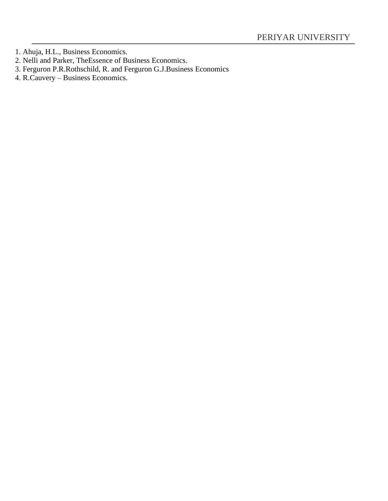- 1. Ahuja, H.L., Business Economics.
- 2. Nelli and Parker, TheEssence of Business Economics.
- 3. Ferguron P.R.Rothschild, R. and Ferguron G.J.Business Economics
- 4. R.Cauvery Business Economics.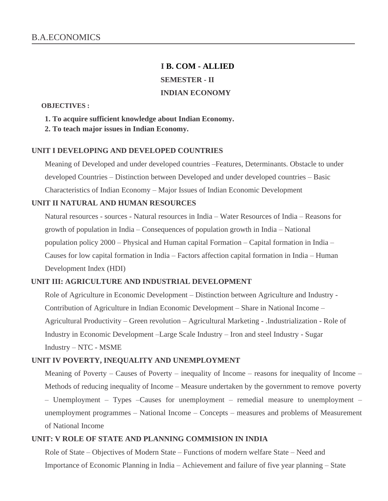# **I B. COM - ALLIED SEMESTER - II INDIAN ECONOMY**

#### **OBJECTIVES :**

- **1. To acquire sufficient knowledge about Indian Economy.**
- **2. To teach major issues in Indian Economy.**

#### **UNIT I DEVELOPING AND DEVELOPED COUNTRIES**

Meaning of Developed and under developed countries –Features, Determinants. Obstacle to under developed Countries – Distinction between Developed and under developed countries – Basic Characteristics of Indian Economy – Major Issues of Indian Economic Development

#### **UNIT II NATURAL AND HUMAN RESOURCES**

Natural resources - sources - Natural resources in India – Water Resources of India – Reasons for growth of population in India – Consequences of population growth in India – National population policy 2000 – Physical and Human capital Formation – Capital formation in India – Causes for low capital formation in India – Factors affection capital formation in India – Human Development Index (HDI)

#### **UNIT III: AGRICULTURE AND INDUSTRIAL DEVELOPMENT**

Role of Agriculture in Economic Development – Distinction between Agriculture and Industry - Contribution of Agriculture in Indian Economic Development – Share in National Income – Agricultural Productivity – Green revolution – Agricultural Marketing - .Industrialization - Role of Industry in Economic Development –Large Scale Industry – Iron and steel Industry - Sugar Industry – NTC - MSME

#### **UNIT IV POVERTY, INEQUALITY AND UNEMPLOYMENT**

Meaning of Poverty – Causes of Poverty – inequality of Income – reasons for inequality of Income – Methods of reducing inequality of Income – Measure undertaken by the government to remove poverty – Unemployment – Types –Causes for unemployment – remedial measure to unemployment – unemployment programmes – National Income – Concepts – measures and problems of Measurement of National Income

#### **UNIT: V ROLE OF STATE AND PLANNING COMMISION IN INDIA**

Role of State – Objectives of Modern State – Functions of modern welfare State – Need and Importance of Economic Planning in India – Achievement and failure of five year planning – State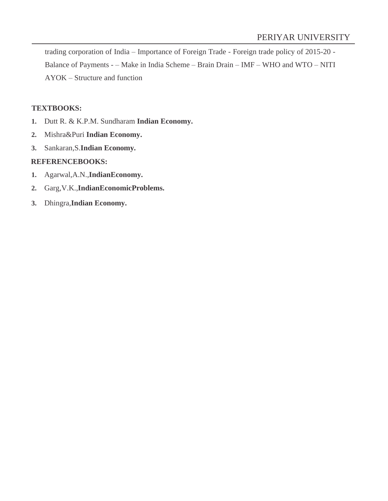trading corporation of India – Importance of Foreign Trade - Foreign trade policy of 2015-20 - Balance of Payments - – Make in India Scheme – Brain Drain – IMF – WHO and WTO – NITI AYOK – Structure and function

## **TEXTBOOKS:**

- **1.** Dutt R. & K.P.M. Sundharam **Indian Economy.**
- **2.** Mishra&Puri **Indian Economy.**
- **3.** Sankaran,S.**Indian Economy.**

### **REFERENCEBOOKS:**

- **1.** Agarwal,A.N.,**IndianEconomy.**
- **2.** Garg,V.K.,**IndianEconomicProblems.**
- **3.** Dhingra,**Indian Economy.**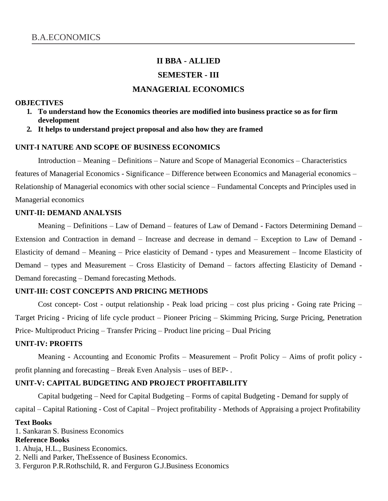# **II BBA - ALLIED SEMESTER - III**

## **MANAGERIAL ECONOMICS**

#### **OBJECTIVES**

- **1. To understand how the Economics theories are modified into business practice so as for firm development**
- **2. It helps to understand project proposal and also how they are framed**

#### **UNIT-I NATURE AND SCOPE OF BUSINESS ECONOMICS**

Introduction – Meaning – Definitions – Nature and Scope of Managerial Economics – Characteristics features of Managerial Economics - Significance – Difference between Economics and Managerial economics – Relationship of Managerial economics with other social science – Fundamental Concepts and Principles used in Managerial economics

#### **UNIT-II: DEMAND ANALYSIS**

Meaning – Definitions – Law of Demand – features of Law of Demand - Factors Determining Demand – Extension and Contraction in demand – Increase and decrease in demand – Exception to Law of Demand - Elasticity of demand – Meaning – Price elasticity of Demand - types and Measurement – Income Elasticity of Demand – types and Measurement – Cross Elasticity of Demand – factors affecting Elasticity of Demand - Demand forecasting – Demand forecasting Methods.

#### **UNIT-III: COST CONCEPTS AND PRICING METHODS**

Cost concept- Cost - output relationship - Peak load pricing – cost plus pricing - Going rate Pricing – Target Pricing - Pricing of life cycle product – Pioneer Pricing – Skimming Pricing, Surge Pricing, Penetration Price- Multiproduct Pricing – Transfer Pricing – Product line pricing – Dual Pricing

#### **UNIT-IV: PROFITS**

Meaning - Accounting and Economic Profits – Measurement – Profit Policy – Aims of profit policy profit planning and forecasting – Break Even Analysis – uses of BEP- .

#### **UNIT-V: CAPITAL BUDGETING AND PROJECT PROFITABILITY**

Capital budgeting – Need for Capital Budgeting – Forms of capital Budgeting - Demand for supply of

capital – Capital Rationing - Cost of Capital – Project profitability - Methods of Appraising a project Profitability

#### **Text Books**

1. Sankaran S. Business Economics

#### **Reference Books**

- 1. Ahuja, H.L., Business Economics.
- 2. Nelli and Parker, TheEssence of Business Economics.
- 3. Ferguron P.R.Rothschild, R. and Ferguron G.J.Business Economics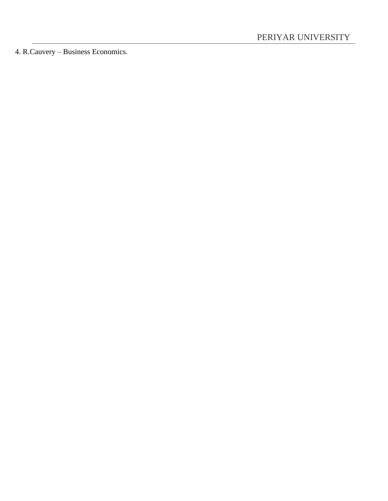4. R.Cauvery – Business Economics.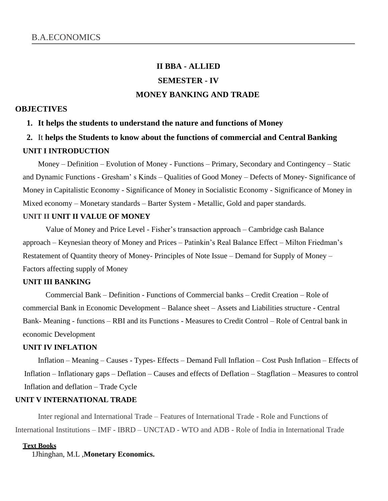# **II BBA - ALLIED SEMESTER - IV MONEY BANKING AND TRADE**

#### **OBJECTIVES**

#### **1. It helps the students to understand the nature and functions of Money**

# **2.** It **helps the Students to know about the functions of commercial and Central Banking UNIT I INTRODUCTION**

Money – Definition – Evolution of Money - Functions – Primary, Secondary and Contingency – Static and Dynamic Functions - Gresham' s Kinds – Qualities of Good Money – Defects of Money- Significance of Money in Capitalistic Economy - Significance of Money in Socialistic Economy - Significance of Money in Mixed economy – Monetary standards – Barter System - Metallic, Gold and paper standards.

## **UNIT II UNIT II VALUE OF MONEY**

Value of Money and Price Level - Fisher's transaction approach – Cambridge cash Balance approach – Keynesian theory of Money and Prices – Patinkin's Real Balance Effect – Milton Friedman's Restatement of Quantity theory of Money- Principles of Note Issue – Demand for Supply of Money – Factors affecting supply of Money

## **UNIT III BANKING**

Commercial Bank – Definition - Functions of Commercial banks – Credit Creation – Role of commercial Bank in Economic Development – Balance sheet – Assets and Liabilities structure - Central Bank- Meaning - functions – RBI and its Functions - Measures to Credit Control – Role of Central bank in economic Development

#### **UNIT IV INFLATION**

Inflation – Meaning – Causes - Types- Effects – Demand Full Inflation – Cost Push Inflation – Effects of Inflation – Inflationary gaps – Deflation – Causes and effects of Deflation – Stagflation – Measures to control Inflation and deflation – Trade Cycle

#### **UNIT V INTERNATIONAL TRADE**

Inter regional and International Trade – Features of International Trade - Role and Functions of International Institutions – IMF - IBRD – UNCTAD - WTO and ADB - Role of India in International Trade

#### **Text Books**

1Jhinghan, M.L ,**Monetary Economics.**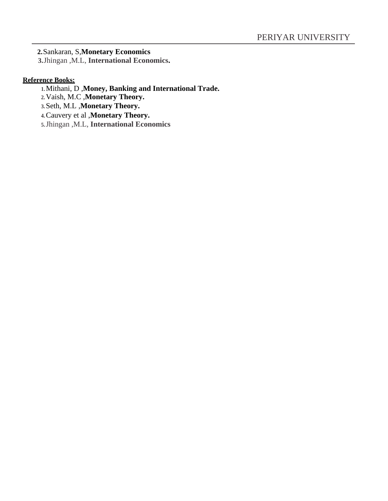**2.**Sankaran, S,**Monetary Economics**

**3.**Jhingan ,M.L, **International Economics.**

## **Reference Books:**

- **1.**Mithani, D ,**Money, Banking and International Trade.**
- **2.**Vaish, M.C ,**Monetary Theory.**
- **3.**Seth, M.L ,**Monetary Theory.**
- **4.**Cauvery et al ,**Monetary Theory.**
- **5.**Jhingan ,M.L, **International Economics**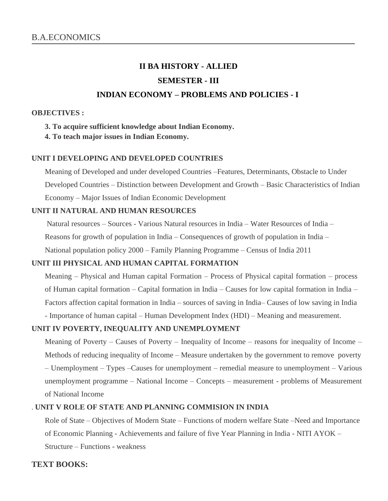# **II BA HISTORY - ALLIED SEMESTER - III INDIAN ECONOMY – PROBLEMS AND POLICIES - I**

#### **OBJECTIVES :**

- **3. To acquire sufficient knowledge about Indian Economy.**
- **4. To teach major issues in Indian Economy.**

### **UNIT I DEVELOPING AND DEVELOPED COUNTRIES**

Meaning of Developed and under developed Countries –Features, Determinants, Obstacle to Under Developed Countries – Distinction between Development and Growth – Basic Characteristics of Indian Economy – Major Issues of Indian Economic Development

### **UNIT II NATURAL AND HUMAN RESOURCES**

Natural resources – Sources - Various Natural resources in India – Water Resources of India –

Reasons for growth of population in India – Consequences of growth of population in India –

National population policy 2000 – Family Planning Programme – Census of India 2011

## **UNIT III PHYSICAL AND HUMAN CAPITAL FORMATION**

Meaning – Physical and Human capital Formation – Process of Physical capital formation – process of Human capital formation – Capital formation in India – Causes for low capital formation in India – Factors affection capital formation in India – sources of saving in India– Causes of low saving in India - Importance of human capital – Human Development Index (HDI) – Meaning and measurement.

## **UNIT IV POVERTY, INEQUALITY AND UNEMPLOYMENT**

Meaning of Poverty – Causes of Poverty – Inequality of Income – reasons for inequality of Income – Methods of reducing inequality of Income – Measure undertaken by the government to remove poverty – Unemployment – Types –Causes for unemployment – remedial measure to unemployment – Various unemployment programme – National Income – Concepts – measurement - problems of Measurement of National Income

## . **UNIT V ROLE OF STATE AND PLANNING COMMISION IN INDIA**

Role of State – Objectives of Modern State – Functions of modern welfare State –Need and Importance of Economic Planning - Achievements and failure of five Year Planning in India - NITI AYOK – Structure – Functions - weakness

## **TEXT BOOKS:**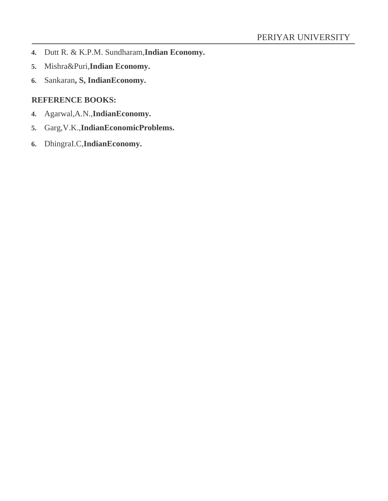- **4.** Dutt R. & K.P.M. Sundharam,**Indian Economy.**
- **5.** Mishra&Puri,**Indian Economy.**
- **6.** Sankaran**, S, IndianEconomy.**

## **REFERENCE BOOKS:**

- **4.** Agarwal,A.N.,**IndianEconomy.**
- **5.** Garg,V.K.,**IndianEconomicProblems.**
- **6.** DhingraI.C,**IndianEconomy.**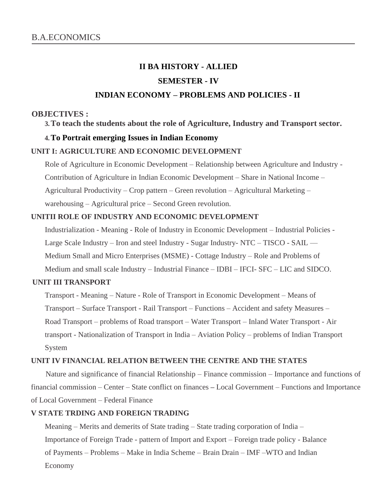# **II BA HISTORY - ALLIED SEMESTER - IV INDIAN ECONOMY – PROBLEMS AND POLICIES - II**

#### **OBJECTIVES :**

**3.To teach the students about the role of Agriculture, Industry and Transport sector.**

#### **4.To Portrait emerging Issues in Indian Economy**

#### **UNIT I: AGRICULTURE AND ECONOMIC DEVELOPMENT**

Role of Agriculture in Economic Development – Relationship between Agriculture and Industry - Contribution of Agriculture in Indian Economic Development – Share in National Income – Agricultural Productivity – Crop pattern – Green revolution – Agricultural Marketing – warehousing – Agricultural price – Second Green revolution.

#### **UNITII ROLE OF INDUSTRY AND ECONOMIC DEVELOPMENT**

Industrialization - Meaning - Role of Industry in Economic Development – Industrial Policies - Large Scale Industry – Iron and steel Industry - Sugar Industry- NTC – TISCO - SAIL –– Medium Small and Micro Enterprises (MSME) - Cottage Industry – Role and Problems of Medium and small scale Industry – Industrial Finance – IDBI – IFCI- SFC – LIC and SIDCO.

#### **UNIT III TRANSPORT**

Transport - Meaning – Nature - Role of Transport in Economic Development – Means of Transport – Surface Transport - Rail Transport – Functions – Accident and safety Measures – Road Transport – problems of Road transport – Water Transport – Inland Water Transport - Air transport - Nationalization of Transport in India – Aviation Policy – problems of Indian Transport System

#### **UNIT IV FINANCIAL RELATION BETWEEN THE CENTRE AND THE STATES**

Nature and significance of financial Relationship – Finance commission – Importance and functions of financial commission – Center – State conflict on finances **–** Local Government – Functions and Importance of Local Government – Federal Finance

#### **V STATE TRDING AND FOREIGN TRADING**

Meaning – Merits and demerits of State trading – State trading corporation of India – Importance of Foreign Trade - pattern of Import and Export – Foreign trade policy - Balance of Payments – Problems – Make in India Scheme – Brain Drain – IMF –WTO and Indian Economy